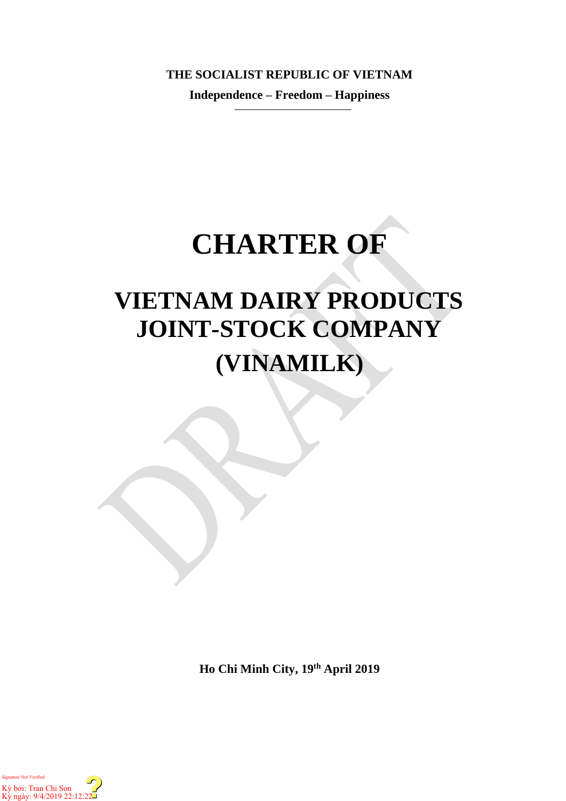**THE SOCIALIST REPUBLIC OF VIETNAM**

**Independence – Freedom – Happiness**

# **CHARTER OF**

## **VIETNAM DAIRY PRODUCTS JOINT-STOCK COMPANY (VINAMILK)**

**Ho Chi Minh City, 19th April 2019**

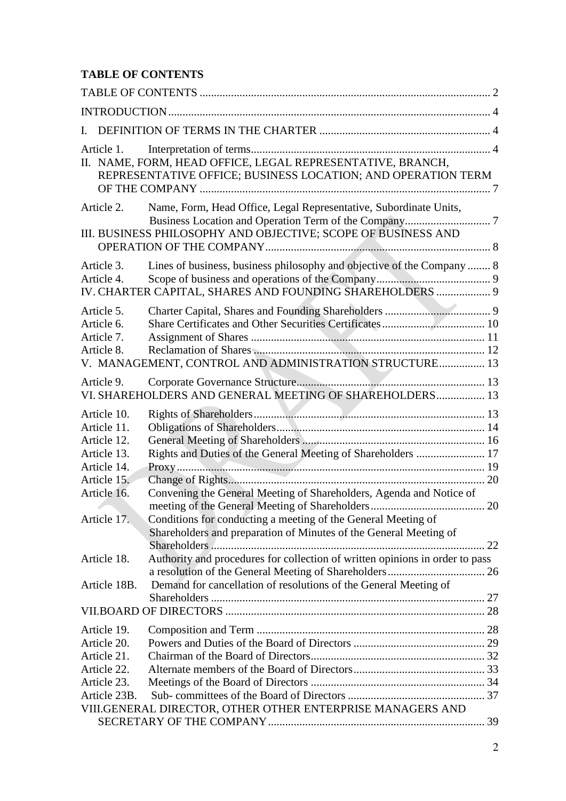## <span id="page-1-0"></span>**TABLE OF CONTENTS**

| L                                                                       |                                                                                                                                                  |    |
|-------------------------------------------------------------------------|--------------------------------------------------------------------------------------------------------------------------------------------------|----|
| Article 1.                                                              | II. NAME, FORM, HEAD OFFICE, LEGAL REPRESENTATIVE, BRANCH,<br>REPRESENTATIVE OFFICE; BUSINESS LOCATION; AND OPERATION TERM                       |    |
| Article 2.                                                              | Name, Form, Head Office, Legal Representative, Subordinate Units,<br>III. BUSINESS PHILOSOPHY AND OBJECTIVE; SCOPE OF BUSINESS AND               |    |
| Article 3.<br>Article 4.                                                | Lines of business, business philosophy and objective of the Company  8<br>IV. CHARTER CAPITAL, SHARES AND FOUNDING SHAREHOLDERS  9               |    |
| Article 5.<br>Article 6.<br>Article 7.<br>Article 8.                    | V. MANAGEMENT, CONTROL AND ADMINISTRATION STRUCTURE 13                                                                                           |    |
| Article 9.                                                              | VI. SHAREHOLDERS AND GENERAL MEETING OF SHAREHOLDERS 13                                                                                          |    |
| Article 10.<br>Article 11.<br>Article 12.<br>Article 13.<br>Article 14. | Rights and Duties of the General Meeting of Shareholders  17                                                                                     |    |
| Article 15.<br>Article 16.<br>Article 17.                               | Convening the General Meeting of Shareholders, Agenda and Notice of<br>Conditions for conducting a meeting of the General Meeting of             |    |
|                                                                         | Shareholders and preparation of Minutes of the General Meeting of                                                                                | 22 |
| Article 18.<br>Article 18B.                                             | Authority and procedures for collection of written opinions in order to pass<br>Demand for cancellation of resolutions of the General Meeting of |    |
|                                                                         |                                                                                                                                                  |    |
| Article 19.<br>Article 20.<br>Article 21.                               |                                                                                                                                                  |    |
| Article 22.<br>Article 23.<br>Article 23B.                              |                                                                                                                                                  |    |
|                                                                         | VIII.GENERAL DIRECTOR, OTHER OTHER ENTERPRISE MANAGERS AND                                                                                       |    |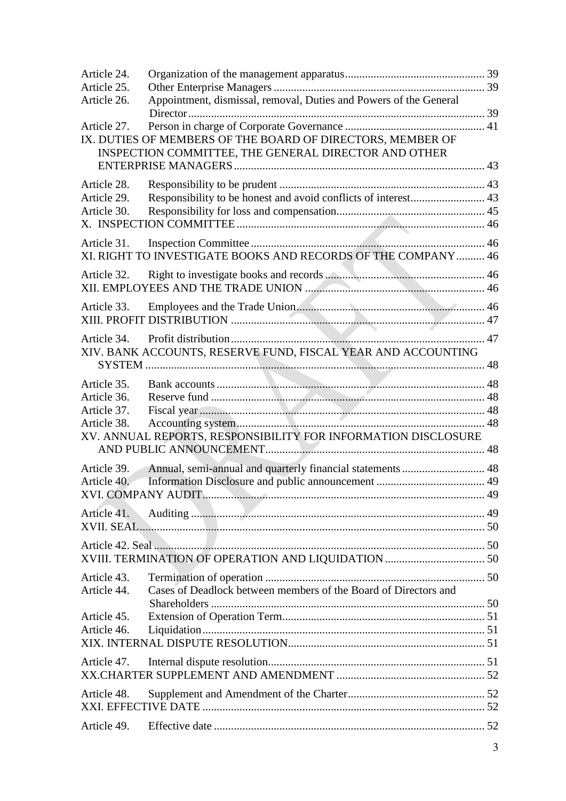| Article 24.                |                                                                   |  |  |
|----------------------------|-------------------------------------------------------------------|--|--|
| Article 25.<br>Article 26. | Appointment, dismissal, removal, Duties and Powers of the General |  |  |
| Article 27.                | IX. DUTIES OF MEMBERS OF THE BOARD OF DIRECTORS, MEMBER OF        |  |  |
|                            | INSPECTION COMMITTEE, THE GENERAL DIRECTOR AND OTHER              |  |  |
| Article 28.                |                                                                   |  |  |
| Article 29.                |                                                                   |  |  |
| Article 30.                |                                                                   |  |  |
| Article 31.                | XI. RIGHT TO INVESTIGATE BOOKS AND RECORDS OF THE COMPANY  46     |  |  |
| Article 32.                |                                                                   |  |  |
|                            |                                                                   |  |  |
| Article 33.                |                                                                   |  |  |
|                            |                                                                   |  |  |
| Article 34.                | XIV. BANK ACCOUNTS, RESERVE FUND, FISCAL YEAR AND ACCOUNTING      |  |  |
|                            |                                                                   |  |  |
| Article 35.                |                                                                   |  |  |
| Article 36.                |                                                                   |  |  |
| Article 37.                |                                                                   |  |  |
| Article 38.                | XV. ANNUAL REPORTS, RESPONSIBILITY FOR INFORMATION DISCLOSURE     |  |  |
| Article 39.                | Annual, semi-annual and quarterly financial statements  48        |  |  |
| Article 40.                |                                                                   |  |  |
|                            |                                                                   |  |  |
| Article 41.                |                                                                   |  |  |
|                            |                                                                   |  |  |
|                            |                                                                   |  |  |
| Article 43.                |                                                                   |  |  |
| Article 44.                | Cases of Deadlock between members of the Board of Directors and   |  |  |
| Article 45.                |                                                                   |  |  |
| Article 46.                |                                                                   |  |  |
|                            |                                                                   |  |  |
| Article 47.                |                                                                   |  |  |
| Article 48.                |                                                                   |  |  |
|                            |                                                                   |  |  |
| Article 49.                |                                                                   |  |  |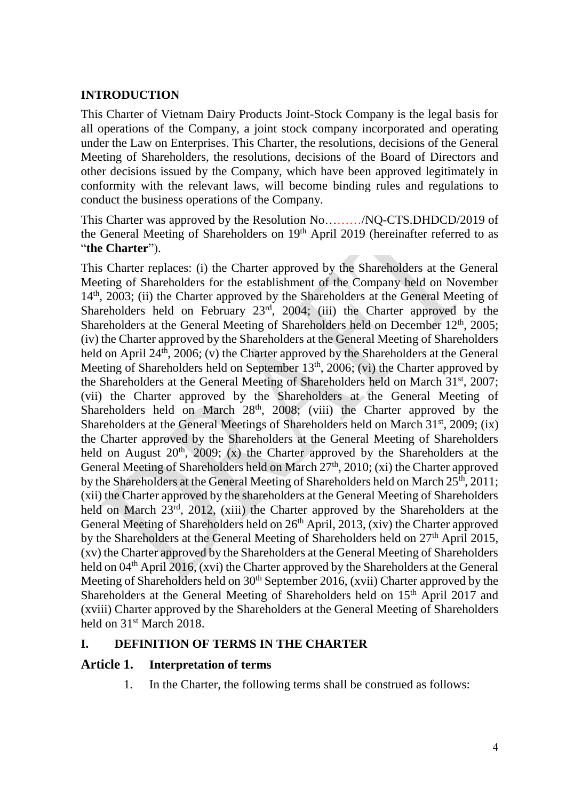#### <span id="page-3-0"></span>**INTRODUCTION**

This Charter of Vietnam Dairy Products Joint-Stock Company is the legal basis for all operations of the Company, a joint stock company incorporated and operating under the Law on Enterprises. This Charter, the resolutions, decisions of the General Meeting of Shareholders, the resolutions, decisions of the Board of Directors and other decisions issued by the Company, which have been approved legitimately in conformity with the relevant laws, will become binding rules and regulations to conduct the business operations of the Company.

This Charter was approved by the Resolution No………/NQ-CTS.DHDCD/2019 of the General Meeting of Shareholders on 19th April 2019 (hereinafter referred to as "**the Charter**").

This Charter replaces: (i) the Charter approved by the Shareholders at the General Meeting of Shareholders for the establishment of the Company held on November 14<sup>th</sup>, 2003; (ii) the Charter approved by the Shareholders at the General Meeting of Shareholders held on February 23<sup>rd</sup>, 2004; (iii) the Charter approved by the Shareholders at the General Meeting of Shareholders held on December  $12<sup>th</sup>$ , 2005; (iv) the Charter approved by the Shareholders at the General Meeting of Shareholders held on April 24<sup>th</sup>, 2006; (v) the Charter approved by the Shareholders at the General Meeting of Shareholders held on September  $13<sup>th</sup>$ ,  $2006$ ; (vi) the Charter approved by the Shareholders at the General Meeting of Shareholders held on March 31st, 2007; (vii) the Charter approved by the Shareholders at the General Meeting of Shareholders held on March  $28<sup>th</sup>$ ,  $2008$ ; (viii) the Charter approved by the Shareholders at the General Meetings of Shareholders held on March 31<sup>st</sup>, 2009; (ix) the Charter approved by the Shareholders at the General Meeting of Shareholders held on August  $20<sup>th</sup>$ ,  $2009$ ; (x) the Charter approved by the Shareholders at the General Meeting of Shareholders held on March 27<sup>th</sup>, 2010; (xi) the Charter approved by the Shareholders at the General Meeting of Shareholders held on March 25<sup>th</sup>, 2011; (xii) the Charter approved by the shareholders at the General Meeting of Shareholders held on March 23<sup>rd</sup>, 2012, (xiii) the Charter approved by the Shareholders at the General Meeting of Shareholders held on 26<sup>th</sup> April, 2013, (xiv) the Charter approved by the Shareholders at the General Meeting of Shareholders held on 27<sup>th</sup> April 2015, (xv) the Charter approved by the Shareholders at the General Meeting of Shareholders held on 04<sup>th</sup> April 2016, (xvi) the Charter approved by the Shareholders at the General Meeting of Shareholders held on  $30<sup>th</sup>$  September 2016, (xvii) Charter approved by the Shareholders at the General Meeting of Shareholders held on 15<sup>th</sup> April 2017 and (xviii) Charter approved by the Shareholders at the General Meeting of Shareholders held on 31<sup>st</sup> March 2018.

#### <span id="page-3-1"></span>**I. DEFINITION OF TERMS IN THE CHARTER**

#### <span id="page-3-2"></span>**Article 1. Interpretation of terms**

1. In the Charter, the following terms shall be construed as follows: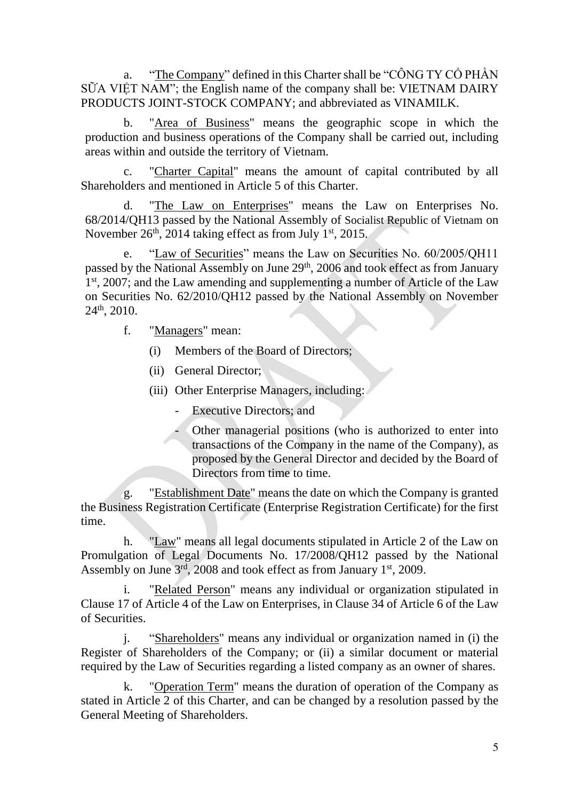a. "The Company" defined in this Charter shall be "CÔNG TY CÔ PHẦN" SỮA VIỆT NAM"; the English name of the company shall be: VIETNAM DAIRY PRODUCTS JOINT-STOCK COMPANY; and abbreviated as VINAMILK.

b. "Area of Business" means the geographic scope in which the production and business operations of the Company shall be carried out, including areas within and outside the territory of Vietnam.

c. "Charter Capital" means the amount of capital contributed by all Shareholders and mentioned in Article 5 of this Charter.

d. "The Law on Enterprises" means the Law on Enterprises No. 68/2014/QH13 passed by the National Assembly of Socialist Republic of Vietnam on November 26<sup>th</sup>, 2014 taking effect as from July 1<sup>st</sup>, 2015.

e. "Law of Securities" means the Law on Securities No. 60/2005/QH11 passed by the National Assembly on June 29<sup>th</sup>, 2006 and took effect as from January 1<sup>st</sup>, 2007; and the Law amending and supplementing a number of Article of the Law on Securities No. 62/2010/QH12 passed by the National Assembly on November  $24<sup>th</sup>$ , 2010.

f. "Managers" mean:

(i) Members of the Board of Directors;

(ii) General Director;

(iii) Other Enterprise Managers, including:

- Executive Directors; and
- Other managerial positions (who is authorized to enter into transactions of the Company in the name of the Company), as proposed by the General Director and decided by the Board of Directors from time to time.

g. "Establishment Date" means the date on which the Company is granted the Business Registration Certificate (Enterprise Registration Certificate) for the first time.

h. "Law" means all legal documents stipulated in Article 2 of the Law on Promulgation of Legal Documents No. 17/2008/QH12 passed by the National Assembly on June 3<sup>rd</sup>, 2008 and took effect as from January 1<sup>st</sup>, 2009.

"Related Person" means any individual or organization stipulated in Clause 17 of Article 4 of the Law on Enterprises, in Clause 34 of Article 6 of the Law of Securities.

j. "Shareholders" means any individual or organization named in (i) the Register of Shareholders of the Company; or (ii) a similar document or material required by the Law of Securities regarding a listed company as an owner of shares.

k. "Operation Term" means the duration of operation of the Company as stated in Article 2 of this Charter, and can be changed by a resolution passed by the General Meeting of Shareholders.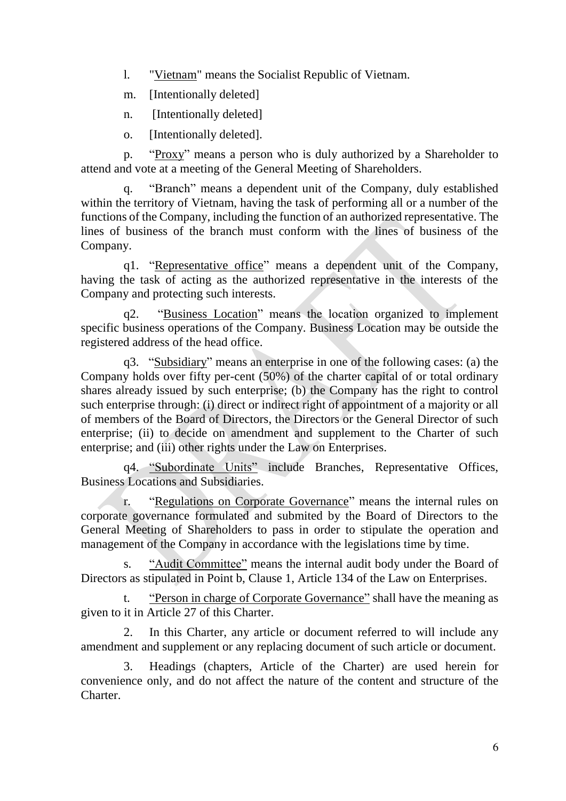l. "Vietnam" means the Socialist Republic of Vietnam.

m. [Intentionally deleted]

n. [Intentionally deleted]

o. [Intentionally deleted].

p. "Proxy" means a person who is duly authorized by a Shareholder to attend and vote at a meeting of the General Meeting of Shareholders.

q. "Branch" means a dependent unit of the Company, duly established within the territory of Vietnam, having the task of performing all or a number of the functions of the Company, including the function of an authorized representative. The lines of business of the branch must conform with the lines of business of the Company.

q1. "Representative office" means a dependent unit of the Company, having the task of acting as the authorized representative in the interests of the Company and protecting such interests.

q2. "Business Location" means the location organized to implement specific business operations of the Company. Business Location may be outside the registered address of the head office.

q3. "Subsidiary" means an enterprise in one of the following cases: (a) the Company holds over fifty per-cent (50%) of the charter capital of or total ordinary shares already issued by such enterprise; (b) the Company has the right to control such enterprise through: (i) direct or indirect right of appointment of a majority or all of members of the Board of Directors, the Directors or the General Director of such enterprise; (ii) to decide on amendment and supplement to the Charter of such enterprise; and (iii) other rights under the Law on Enterprises.

q4. "Subordinate Units" include Branches, Representative Offices, Business Locations and Subsidiaries.

r. "Regulations on Corporate Governance" means the internal rules on corporate governance formulated and submited by the Board of Directors to the General Meeting of Shareholders to pass in order to stipulate the operation and management of the Company in accordance with the legislations time by time.

s. "Audit Committee" means the internal audit body under the Board of Directors as stipulated in Point b, Clause 1, Article 134 of the Law on Enterprises.

t. "Person in charge of Corporate Governance" shall have the meaning as given to it in Article 27 of this Charter.

2. In this Charter, any article or document referred to will include any amendment and supplement or any replacing document of such article or document.

3. Headings (chapters, Article of the Charter) are used herein for convenience only, and do not affect the nature of the content and structure of the Charter.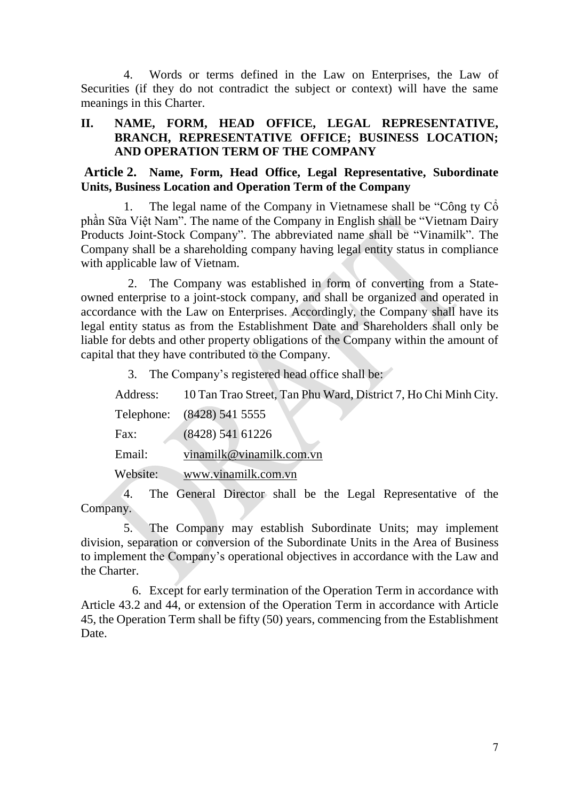4. Words or terms defined in the Law on Enterprises, the Law of Securities (if they do not contradict the subject or context) will have the same meanings in this Charter.

#### <span id="page-6-0"></span>**II. NAME, FORM, HEAD OFFICE, LEGAL REPRESENTATIVE, BRANCH, REPRESENTATIVE OFFICE; BUSINESS LOCATION; AND OPERATION TERM OF THE COMPANY**

<span id="page-6-1"></span>**Article 2. Name, Form, Head Office, Legal Representative, Subordinate Units, Business Location and Operation Term of the Company**

The legal name of the Company in Vietnamese shall be "Công ty  $\check{C}$ "Công" phần Sữa Việt Nam". The name of the Company in English shall be "Vietnam Dairy Products Joint-Stock Company". The abbreviated name shall be "Vinamilk". The Company shall be a shareholding company having legal entity status in compliance with applicable law of Vietnam.

2. The Company was established in form of converting from a Stateowned enterprise to a joint-stock company, and shall be organized and operated in accordance with the Law on Enterprises. Accordingly, the Company shall have its legal entity status as from the Establishment Date and Shareholders shall only be liable for debts and other property obligations of the Company within the amount of capital that they have contributed to the Company.

3. The Company's registered head office shall be:

Address: 10 Tan Trao Street, Tan Phu Ward, District 7, Ho Chi Minh City. Telephone: (8428) 541 5555 Fax: (8428) 541 61226 Email: [vinamilk@vinamilk.com.vn](mailto:vinamilk@vinamilk.com.vn) Website: [www.vinamilk.com.vn](http://www.vinamilk.com.vn/)

4. The General Director shall be the Legal Representative of the Company.

5. The Company may establish Subordinate Units; may implement division, separation or conversion of the Subordinate Units in the Area of Business to implement the Company's operational objectives in accordance with the Law and the Charter.

6. Except for early termination of the Operation Term in accordance with Article 43.2 and 44, or extension of the Operation Term in accordance with Article 45, the Operation Term shall be fifty (50) years, commencing from the Establishment Date.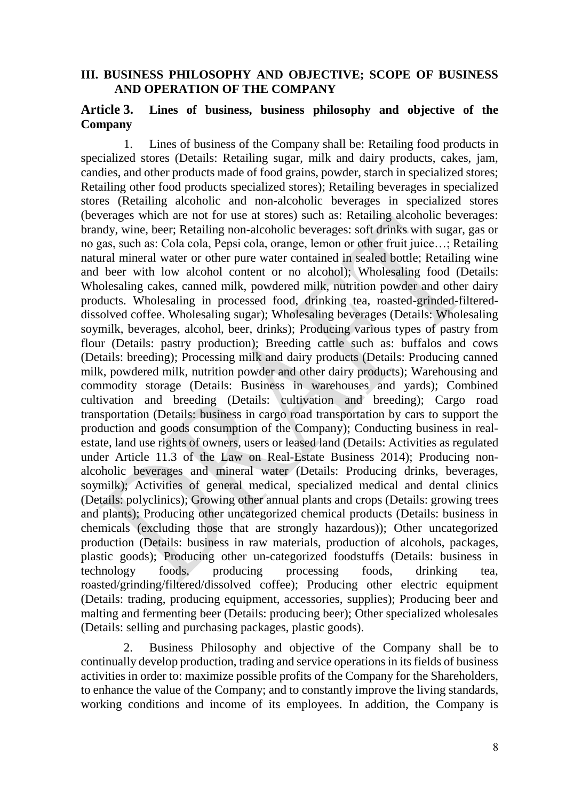#### <span id="page-7-0"></span>**III. BUSINESS PHILOSOPHY AND OBJECTIVE; SCOPE OF BUSINESS AND OPERATION OF THE COMPANY**

#### <span id="page-7-1"></span>**Article 3. Lines of business, business philosophy and objective of the Company**

1. Lines of business of the Company shall be: Retailing food products in specialized stores (Details: Retailing sugar, milk and dairy products, cakes, jam, candies, and other products made of food grains, powder, starch in specialized stores; Retailing other food products specialized stores); Retailing beverages in specialized stores (Retailing alcoholic and non-alcoholic beverages in specialized stores (beverages which are not for use at stores) such as: Retailing alcoholic beverages: brandy, wine, beer; Retailing non-alcoholic beverages: soft drinks with sugar, gas or no gas, such as: Cola cola, Pepsi cola, orange, lemon or other fruit juice…; Retailing natural mineral water or other pure water contained in sealed bottle; Retailing wine and beer with low alcohol content or no alcohol); Wholesaling food (Details: Wholesaling cakes, canned milk, powdered milk, nutrition powder and other dairy products. Wholesaling in processed food, drinking tea, roasted-grinded-filtereddissolved coffee. Wholesaling sugar); Wholesaling beverages (Details: Wholesaling soymilk, beverages, alcohol, beer, drinks); Producing various types of pastry from flour (Details: pastry production); Breeding cattle such as: buffalos and cows (Details: breeding); Processing milk and dairy products (Details: Producing canned milk, powdered milk, nutrition powder and other dairy products); Warehousing and commodity storage (Details: Business in warehouses and yards); Combined cultivation and breeding (Details: cultivation and breeding); Cargo road transportation (Details: business in cargo road transportation by cars to support the production and goods consumption of the Company); Conducting business in realestate, land use rights of owners, users or leased land (Details: Activities as regulated under Article 11.3 of the Law on Real-Estate Business 2014); Producing nonalcoholic beverages and mineral water (Details: Producing drinks, beverages, soymilk); Activities of general medical, specialized medical and dental clinics (Details: polyclinics); Growing other annual plants and crops (Details: growing trees and plants); Producing other uncategorized chemical products (Details: business in chemicals (excluding those that are strongly hazardous)); Other uncategorized production (Details: business in raw materials, production of alcohols, packages, plastic goods); Producing other un-categorized foodstuffs (Details: business in technology foods, producing processing foods, drinking tea, roasted/grinding/filtered/dissolved coffee); Producing other electric equipment (Details: trading, producing equipment, accessories, supplies); Producing beer and malting and fermenting beer (Details: producing beer); Other specialized wholesales (Details: selling and purchasing packages, plastic goods).

2. Business Philosophy and objective of the Company shall be to continually develop production, trading and service operations in its fields of business activities in order to: maximize possible profits of the Company for the Shareholders, to enhance the value of the Company; and to constantly improve the living standards, working conditions and income of its employees. In addition, the Company is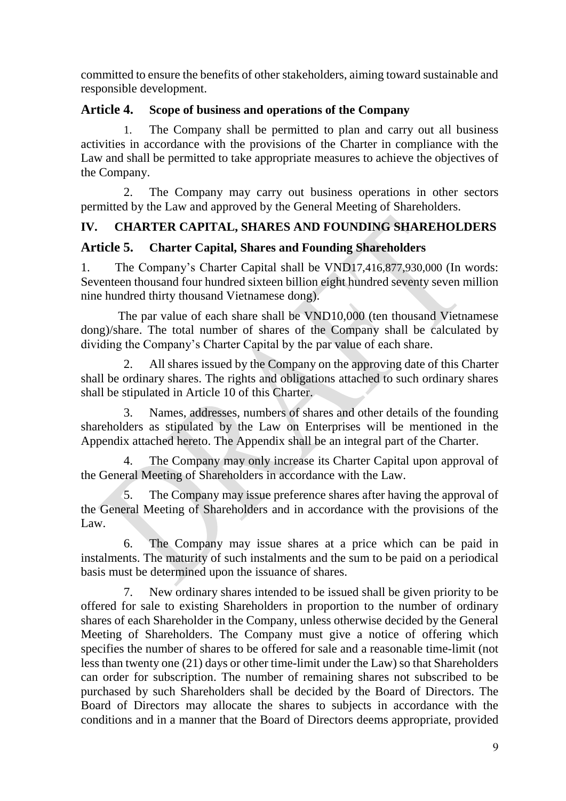committed to ensure the benefits of other stakeholders, aiming toward sustainable and responsible development.

## <span id="page-8-0"></span>**Article 4. Scope of business and operations of the Company**

1. The Company shall be permitted to plan and carry out all business activities in accordance with the provisions of the Charter in compliance with the Law and shall be permitted to take appropriate measures to achieve the objectives of the Company.

2. The Company may carry out business operations in other sectors permitted by the Law and approved by the General Meeting of Shareholders.

## <span id="page-8-1"></span>**IV. CHARTER CAPITAL, SHARES AND FOUNDING SHAREHOLDERS**

### <span id="page-8-2"></span>**Article 5. Charter Capital, Shares and Founding Shareholders**

1. The Company's Charter Capital shall be VND17,416,877,930,000 (In words: Seventeen thousand four hundred sixteen billion eight hundred seventy seven million nine hundred thirty thousand Vietnamese dong).

The par value of each share shall be VND10,000 (ten thousand Vietnamese dong)/share. The total number of shares of the Company shall be calculated by dividing the Company's Charter Capital by the par value of each share.

2. All shares issued by the Company on the approving date of this Charter shall be ordinary shares. The rights and obligations attached to such ordinary shares shall be stipulated in Article 10 of this Charter.

3. Names, addresses, numbers of shares and other details of the founding shareholders as stipulated by the Law on Enterprises will be mentioned in the Appendix attached hereto. The Appendix shall be an integral part of the Charter.

4. The Company may only increase its Charter Capital upon approval of the General Meeting of Shareholders in accordance with the Law.

5. The Company may issue preference shares after having the approval of the General Meeting of Shareholders and in accordance with the provisions of the Law.

6. The Company may issue shares at a price which can be paid in instalments. The maturity of such instalments and the sum to be paid on a periodical basis must be determined upon the issuance of shares.

7. New ordinary shares intended to be issued shall be given priority to be offered for sale to existing Shareholders in proportion to the number of ordinary shares of each Shareholder in the Company, unless otherwise decided by the General Meeting of Shareholders. The Company must give a notice of offering which specifies the number of shares to be offered for sale and a reasonable time-limit (not less than twenty one (21) days or other time-limit under the Law) so that Shareholders can order for subscription. The number of remaining shares not subscribed to be purchased by such Shareholders shall be decided by the Board of Directors. The Board of Directors may allocate the shares to subjects in accordance with the conditions and in a manner that the Board of Directors deems appropriate, provided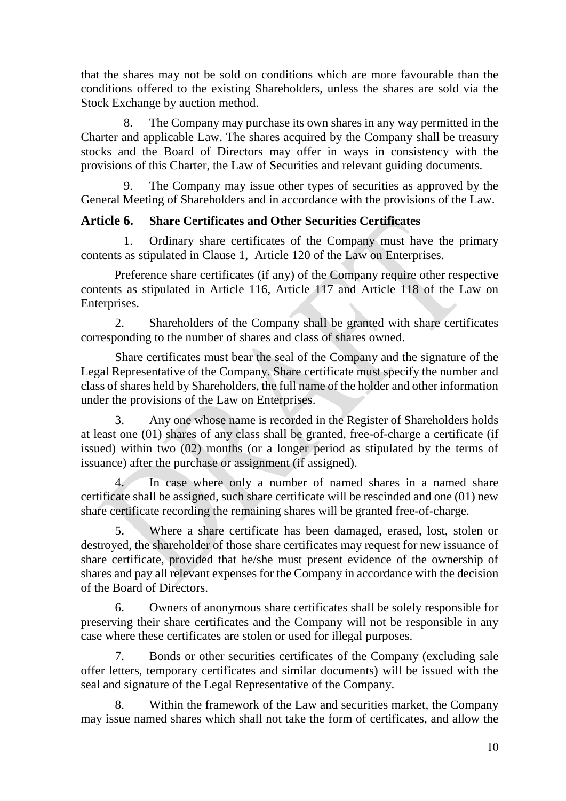that the shares may not be sold on conditions which are more favourable than the conditions offered to the existing Shareholders, unless the shares are sold via the Stock Exchange by auction method.

The Company may purchase its own shares in any way permitted in the Charter and applicable Law. The shares acquired by the Company shall be treasury stocks and the Board of Directors may offer in ways in consistency with the provisions of this Charter, the Law of Securities and relevant guiding documents.

9. The Company may issue other types of securities as approved by the General Meeting of Shareholders and in accordance with the provisions of the Law.

## <span id="page-9-0"></span>**Article 6. Share Certificates and Other Securities Certificates**

1. Ordinary share certificates of the Company must have the primary contents as stipulated in Clause 1, Article 120 of the Law on Enterprises.

Preference share certificates (if any) of the Company require other respective contents as stipulated in Article 116, Article 117 and Article 118 of the Law on Enterprises.

2. Shareholders of the Company shall be granted with share certificates corresponding to the number of shares and class of shares owned.

Share certificates must bear the seal of the Company and the signature of the Legal Representative of the Company. Share certificate must specify the number and class of shares held by Shareholders, the full name of the holder and other information under the provisions of the Law on Enterprises.

3. Any one whose name is recorded in the Register of Shareholders holds at least one (01) shares of any class shall be granted, free-of-charge a certificate (if issued) within two (02) months (or a longer period as stipulated by the terms of issuance) after the purchase or assignment (if assigned).

4. In case where only a number of named shares in a named share certificate shall be assigned, such share certificate will be rescinded and one (01) new share certificate recording the remaining shares will be granted free-of-charge.

5. Where a share certificate has been damaged, erased, lost, stolen or destroyed, the shareholder of those share certificates may request for new issuance of share certificate, provided that he/she must present evidence of the ownership of shares and pay all relevant expenses for the Company in accordance with the decision of the Board of Directors.

6. Owners of anonymous share certificates shall be solely responsible for preserving their share certificates and the Company will not be responsible in any case where these certificates are stolen or used for illegal purposes.

7. Bonds or other securities certificates of the Company (excluding sale offer letters, temporary certificates and similar documents) will be issued with the seal and signature of the Legal Representative of the Company.

8. Within the framework of the Law and securities market, the Company may issue named shares which shall not take the form of certificates, and allow the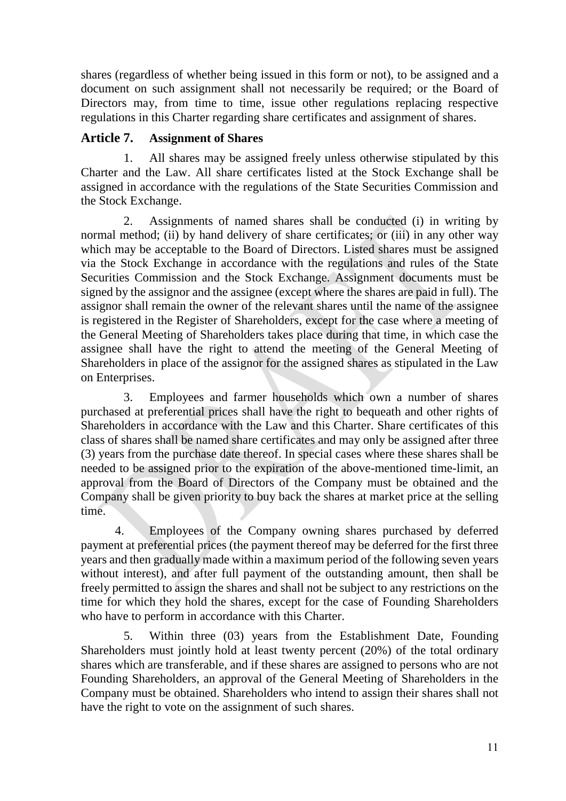shares (regardless of whether being issued in this form or not), to be assigned and a document on such assignment shall not necessarily be required; or the Board of Directors may, from time to time, issue other regulations replacing respective regulations in this Charter regarding share certificates and assignment of shares.

## <span id="page-10-0"></span>**Article 7. Assignment of Shares**

1. All shares may be assigned freely unless otherwise stipulated by this Charter and the Law. All share certificates listed at the Stock Exchange shall be assigned in accordance with the regulations of the State Securities Commission and the Stock Exchange.

2. Assignments of named shares shall be conducted (i) in writing by normal method; (ii) by hand delivery of share certificates; or (iii) in any other way which may be acceptable to the Board of Directors. Listed shares must be assigned via the Stock Exchange in accordance with the regulations and rules of the State Securities Commission and the Stock Exchange. Assignment documents must be signed by the assignor and the assignee (except where the shares are paid in full). The assignor shall remain the owner of the relevant shares until the name of the assignee is registered in the Register of Shareholders, except for the case where a meeting of the General Meeting of Shareholders takes place during that time, in which case the assignee shall have the right to attend the meeting of the General Meeting of Shareholders in place of the assignor for the assigned shares as stipulated in the Law on Enterprises.

3. Employees and farmer households which own a number of shares purchased at preferential prices shall have the right to bequeath and other rights of Shareholders in accordance with the Law and this Charter. Share certificates of this class of shares shall be named share certificates and may only be assigned after three (3) years from the purchase date thereof. In special cases where these shares shall be needed to be assigned prior to the expiration of the above-mentioned time-limit, an approval from the Board of Directors of the Company must be obtained and the Company shall be given priority to buy back the shares at market price at the selling time.

4. Employees of the Company owning shares purchased by deferred payment at preferential prices (the payment thereof may be deferred for the first three years and then gradually made within a maximum period of the following seven years without interest), and after full payment of the outstanding amount, then shall be freely permitted to assign the shares and shall not be subject to any restrictions on the time for which they hold the shares, except for the case of Founding Shareholders who have to perform in accordance with this Charter.

5. Within three (03) years from the Establishment Date, Founding Shareholders must jointly hold at least twenty percent (20%) of the total ordinary shares which are transferable, and if these shares are assigned to persons who are not Founding Shareholders, an approval of the General Meeting of Shareholders in the Company must be obtained. Shareholders who intend to assign their shares shall not have the right to vote on the assignment of such shares.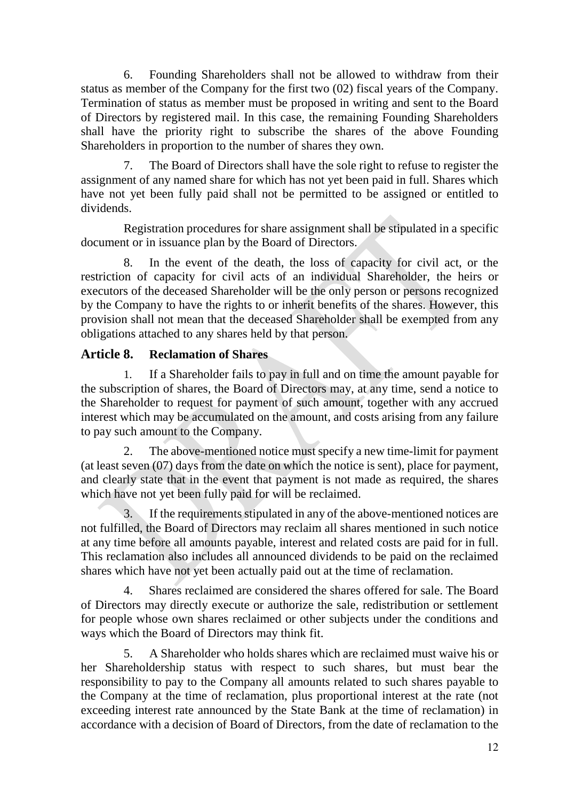6. Founding Shareholders shall not be allowed to withdraw from their status as member of the Company for the first two (02) fiscal years of the Company. Termination of status as member must be proposed in writing and sent to the Board of Directors by registered mail. In this case, the remaining Founding Shareholders shall have the priority right to subscribe the shares of the above Founding Shareholders in proportion to the number of shares they own.

The Board of Directors shall have the sole right to refuse to register the assignment of any named share for which has not yet been paid in full. Shares which have not yet been fully paid shall not be permitted to be assigned or entitled to dividends.

 Registration procedures for share assignment shall be stipulated in a specific document or in issuance plan by the Board of Directors.

8. In the event of the death, the loss of capacity for civil act, or the restriction of capacity for civil acts of an individual Shareholder, the heirs or executors of the deceased Shareholder will be the only person or persons recognized by the Company to have the rights to or inherit benefits of the shares. However, this provision shall not mean that the deceased Shareholder shall be exempted from any obligations attached to any shares held by that person.

## <span id="page-11-0"></span>**Article 8. Reclamation of Shares**

1. If a Shareholder fails to pay in full and on time the amount payable for the subscription of shares, the Board of Directors may, at any time, send a notice to the Shareholder to request for payment of such amount, together with any accrued interest which may be accumulated on the amount, and costs arising from any failure to pay such amount to the Company.

2. The above-mentioned notice must specify a new time-limit for payment (at least seven (07) days from the date on which the notice is sent), place for payment, and clearly state that in the event that payment is not made as required, the shares which have not yet been fully paid for will be reclaimed.

3. If the requirements stipulated in any of the above-mentioned notices are not fulfilled, the Board of Directors may reclaim all shares mentioned in such notice at any time before all amounts payable, interest and related costs are paid for in full. This reclamation also includes all announced dividends to be paid on the reclaimed shares which have not yet been actually paid out at the time of reclamation.

4. Shares reclaimed are considered the shares offered for sale. The Board of Directors may directly execute or authorize the sale, redistribution or settlement for people whose own shares reclaimed or other subjects under the conditions and ways which the Board of Directors may think fit.

5. A Shareholder who holds shares which are reclaimed must waive his or her Shareholdership status with respect to such shares, but must bear the responsibility to pay to the Company all amounts related to such shares payable to the Company at the time of reclamation, plus proportional interest at the rate (not exceeding interest rate announced by the State Bank at the time of reclamation) in accordance with a decision of Board of Directors, from the date of reclamation to the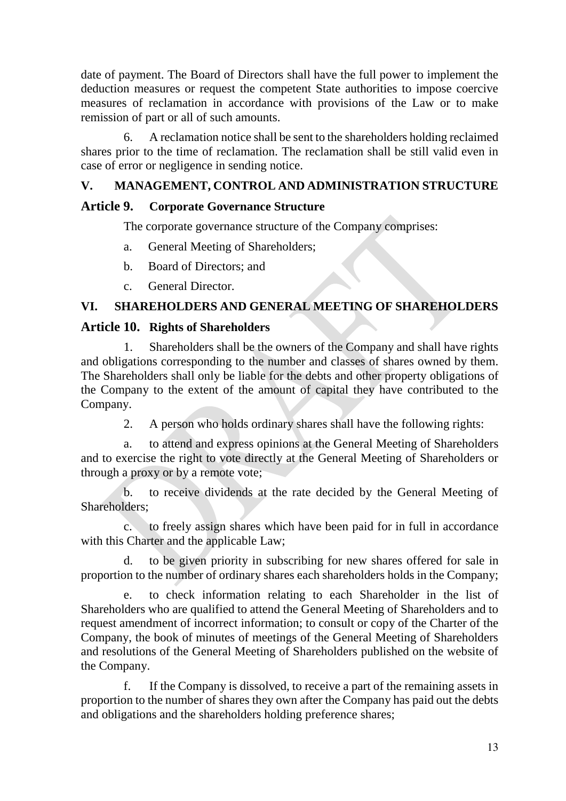date of payment. The Board of Directors shall have the full power to implement the deduction measures or request the competent State authorities to impose coercive measures of reclamation in accordance with provisions of the Law or to make remission of part or all of such amounts.

6. A reclamation notice shall be sent to the shareholders holding reclaimed shares prior to the time of reclamation. The reclamation shall be still valid even in case of error or negligence in sending notice.

## <span id="page-12-0"></span>**V. MANAGEMENT, CONTROL AND ADMINISTRATION STRUCTURE**

## <span id="page-12-1"></span>**Article 9. Corporate Governance Structure**

The corporate governance structure of the Company comprises:

- a. General Meeting of Shareholders;
- b. Board of Directors; and
- c. General Director.

## <span id="page-12-2"></span>**VI. SHAREHOLDERS AND GENERAL MEETING OF SHAREHOLDERS**

### <span id="page-12-3"></span>**Article 10. Rights of Shareholders**

1. Shareholders shall be the owners of the Company and shall have rights and obligations corresponding to the number and classes of shares owned by them. The Shareholders shall only be liable for the debts and other property obligations of the Company to the extent of the amount of capital they have contributed to the Company.

2. A person who holds ordinary shares shall have the following rights:

a. to attend and express opinions at the General Meeting of Shareholders and to exercise the right to vote directly at the General Meeting of Shareholders or through a proxy or by a remote vote;

b. to receive dividends at the rate decided by the General Meeting of Shareholders;

c. to freely assign shares which have been paid for in full in accordance with this Charter and the applicable Law;

d. to be given priority in subscribing for new shares offered for sale in proportion to the number of ordinary shares each shareholders holds in the Company;

e. to check information relating to each Shareholder in the list of Shareholders who are qualified to attend the General Meeting of Shareholders and to request amendment of incorrect information; to consult or copy of the Charter of the Company, the book of minutes of meetings of the General Meeting of Shareholders and resolutions of the General Meeting of Shareholders published on the website of the Company.

f. If the Company is dissolved, to receive a part of the remaining assets in proportion to the number of shares they own after the Company has paid out the debts and obligations and the shareholders holding preference shares;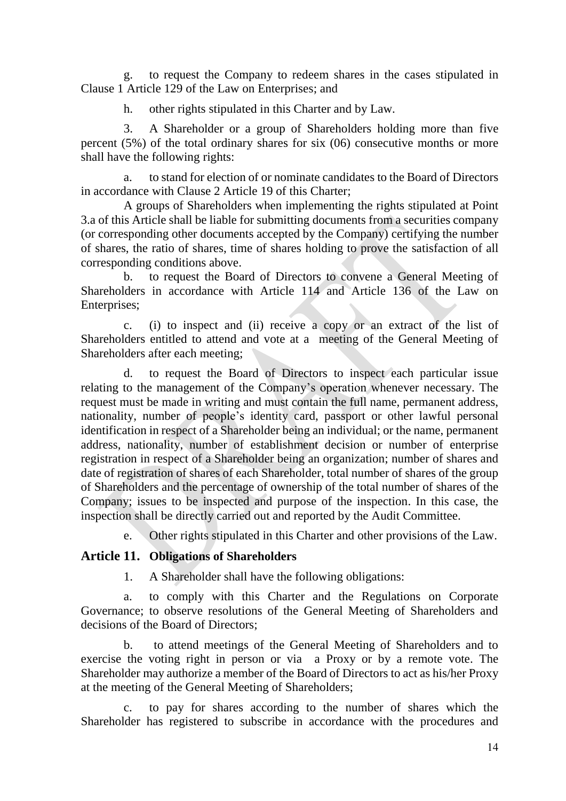g. to request the Company to redeem shares in the cases stipulated in Clause 1 Article 129 of the Law on Enterprises; and

h. other rights stipulated in this Charter and by Law.

3. A Shareholder or a group of Shareholders holding more than five percent (5%) of the total ordinary shares for six (06) consecutive months or more shall have the following rights:

a. to stand for election of or nominate candidates to the Board of Directors in accordance with Clause 2 Article 19 of this Charter;

A groups of Shareholders when implementing the rights stipulated at Point 3.a of this Article shall be liable for submitting documents from a securities company (or corresponding other documents accepted by the Company) certifying the number of shares, the ratio of shares, time of shares holding to prove the satisfaction of all corresponding conditions above.

b. to request the Board of Directors to convene a General Meeting of Shareholders in accordance with Article 114 and Article 136 of the Law on Enterprises;

c. (i) to inspect and (ii) receive a copy or an extract of the list of Shareholders entitled to attend and vote at a meeting of the General Meeting of Shareholders after each meeting;

d. to request the Board of Directors to inspect each particular issue relating to the management of the Company's operation whenever necessary. The request must be made in writing and must contain the full name, permanent address, nationality, number of people's identity card, passport or other lawful personal identification in respect of a Shareholder being an individual; or the name, permanent address, nationality, number of establishment decision or number of enterprise registration in respect of a Shareholder being an organization; number of shares and date of registration of shares of each Shareholder, total number of shares of the group of Shareholders and the percentage of ownership of the total number of shares of the Company; issues to be inspected and purpose of the inspection. In this case, the inspection shall be directly carried out and reported by the Audit Committee.

e. Other rights stipulated in this Charter and other provisions of the Law.

#### <span id="page-13-0"></span>**Article 11. Obligations of Shareholders**

1. A Shareholder shall have the following obligations:

a. to comply with this Charter and the Regulations on Corporate Governance; to observe resolutions of the General Meeting of Shareholders and decisions of the Board of Directors;

b. to attend meetings of the General Meeting of Shareholders and to exercise the voting right in person or via a Proxy or by a remote vote. The Shareholder may authorize a member of the Board of Directors to act as his/her Proxy at the meeting of the General Meeting of Shareholders;

c. to pay for shares according to the number of shares which the Shareholder has registered to subscribe in accordance with the procedures and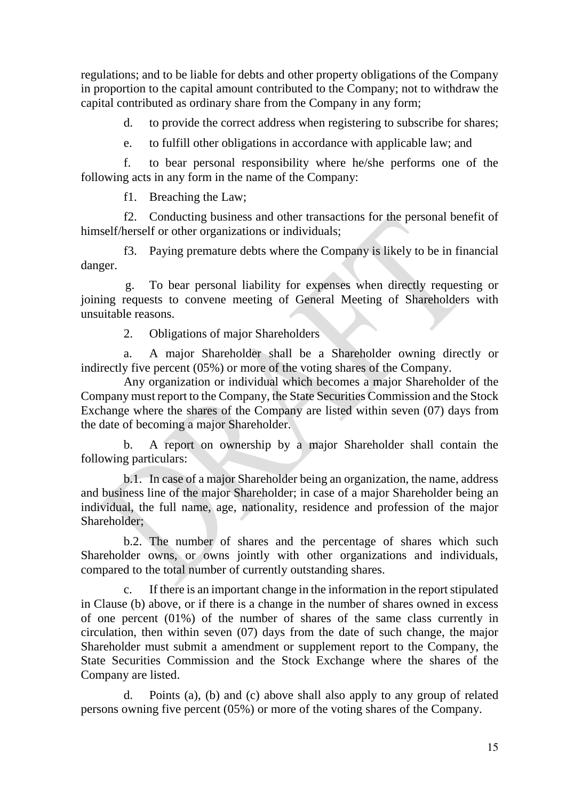regulations; and to be liable for debts and other property obligations of the Company in proportion to the capital amount contributed to the Company; not to withdraw the capital contributed as ordinary share from the Company in any form;

d. to provide the correct address when registering to subscribe for shares;

e. to fulfill other obligations in accordance with applicable law; and

f. to bear personal responsibility where he/she performs one of the following acts in any form in the name of the Company:

f1. Breaching the Law;

f2. Conducting business and other transactions for the personal benefit of himself/herself or other organizations or individuals;

f3. Paying premature debts where the Company is likely to be in financial danger.

g. To bear personal liability for expenses when directly requesting or joining requests to convene meeting of General Meeting of Shareholders with unsuitable reasons.

2. Obligations of major Shareholders

a. A major Shareholder shall be a Shareholder owning directly or indirectly five percent (05%) or more of the voting shares of the Company.

Any organization or individual which becomes a major Shareholder of the Company must report to the Company, the State Securities Commission and the Stock Exchange where the shares of the Company are listed within seven (07) days from the date of becoming a major Shareholder.

b. A report on ownership by a major Shareholder shall contain the following particulars:

b.1. In case of a major Shareholder being an organization, the name, address and business line of the major Shareholder; in case of a major Shareholder being an individual, the full name, age, nationality, residence and profession of the major Shareholder;

b.2. The number of shares and the percentage of shares which such Shareholder owns, or owns jointly with other organizations and individuals, compared to the total number of currently outstanding shares.

c. If there is an important change in the information in the report stipulated in Clause (b) above, or if there is a change in the number of shares owned in excess of one percent (01%) of the number of shares of the same class currently in circulation, then within seven (07) days from the date of such change, the major Shareholder must submit a amendment or supplement report to the Company, the State Securities Commission and the Stock Exchange where the shares of the Company are listed.

d. Points (a), (b) and (c) above shall also apply to any group of related persons owning five percent (05%) or more of the voting shares of the Company.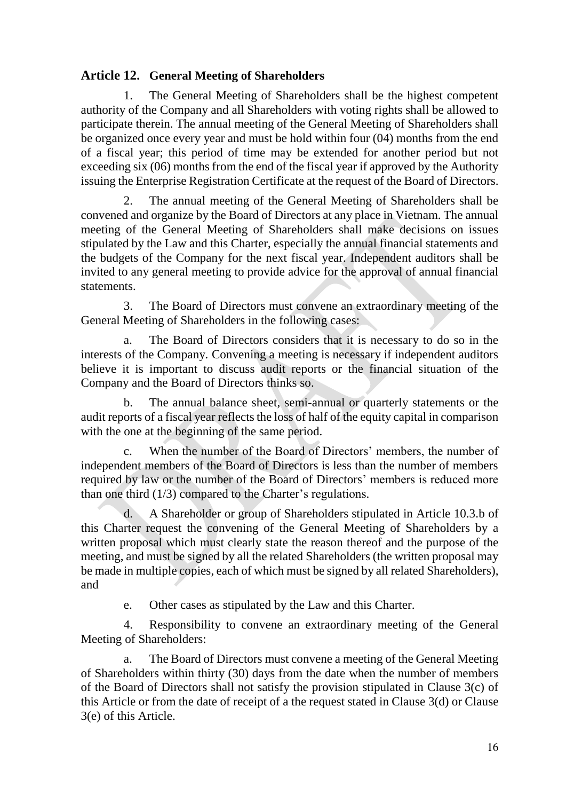## <span id="page-15-0"></span>**Article 12. General Meeting of Shareholders**

1. The General Meeting of Shareholders shall be the highest competent authority of the Company and all Shareholders with voting rights shall be allowed to participate therein. The annual meeting of the General Meeting of Shareholders shall be organized once every year and must be hold within four (04) months from the end of a fiscal year; this period of time may be extended for another period but not exceeding six (06) months from the end of the fiscal year if approved by the Authority issuing the Enterprise Registration Certificate at the request of the Board of Directors.

2. The annual meeting of the General Meeting of Shareholders shall be convened and organize by the Board of Directors at any place in Vietnam. The annual meeting of the General Meeting of Shareholders shall make decisions on issues stipulated by the Law and this Charter, especially the annual financial statements and the budgets of the Company for the next fiscal year. Independent auditors shall be invited to any general meeting to provide advice for the approval of annual financial statements.

3. The Board of Directors must convene an extraordinary meeting of the General Meeting of Shareholders in the following cases:

a. The Board of Directors considers that it is necessary to do so in the interests of the Company. Convening a meeting is necessary if independent auditors believe it is important to discuss audit reports or the financial situation of the Company and the Board of Directors thinks so.

b. The annual balance sheet, semi-annual or quarterly statements or the audit reports of a fiscal year reflects the loss of half of the equity capital in comparison with the one at the beginning of the same period.

c. When the number of the Board of Directors' members, the number of independent members of the Board of Directors is less than the number of members required by law or the number of the Board of Directors' members is reduced more than one third (1/3) compared to the Charter's regulations.

d. A Shareholder or group of Shareholders stipulated in Article 10.3.b of this Charter request the convening of the General Meeting of Shareholders by a written proposal which must clearly state the reason thereof and the purpose of the meeting, and must be signed by all the related Shareholders (the written proposal may be made in multiple copies, each of which must be signed by all related Shareholders), and

e. Other cases as stipulated by the Law and this Charter.

4. Responsibility to convene an extraordinary meeting of the General Meeting of Shareholders:

a. The Board of Directors must convene a meeting of the General Meeting of Shareholders within thirty (30) days from the date when the number of members of the Board of Directors shall not satisfy the provision stipulated in Clause 3(c) of this Article or from the date of receipt of a the request stated in Clause 3(d) or Clause 3(e) of this Article.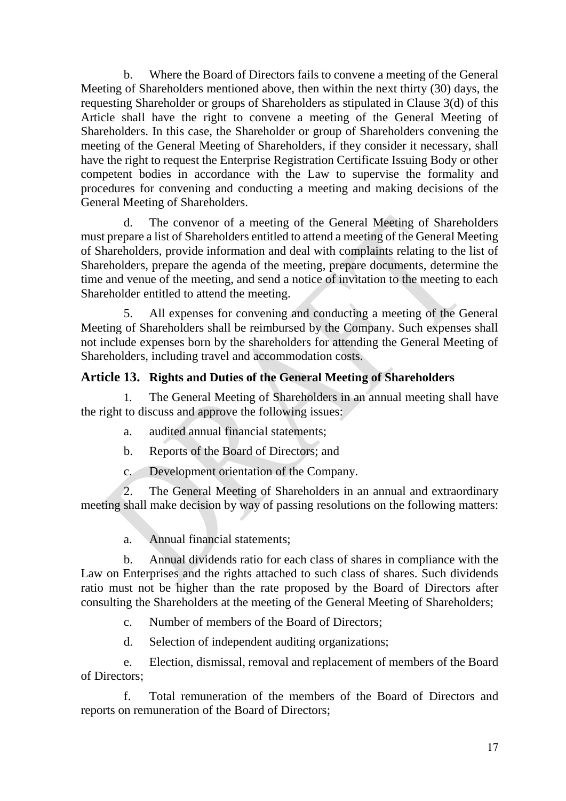b. Where the Board of Directors fails to convene a meeting of the General Meeting of Shareholders mentioned above, then within the next thirty (30) days, the requesting Shareholder or groups of Shareholders as stipulated in Clause 3(d) of this Article shall have the right to convene a meeting of the General Meeting of Shareholders. In this case, the Shareholder or group of Shareholders convening the meeting of the General Meeting of Shareholders, if they consider it necessary, shall have the right to request the Enterprise Registration Certificate Issuing Body or other competent bodies in accordance with the Law to supervise the formality and procedures for convening and conducting a meeting and making decisions of the General Meeting of Shareholders.

d. The convenor of a meeting of the General Meeting of Shareholders must prepare a list of Shareholders entitled to attend a meeting of the General Meeting of Shareholders, provide information and deal with complaints relating to the list of Shareholders, prepare the agenda of the meeting, prepare documents, determine the time and venue of the meeting, and send a notice of invitation to the meeting to each Shareholder entitled to attend the meeting.

5. All expenses for convening and conducting a meeting of the General Meeting of Shareholders shall be reimbursed by the Company. Such expenses shall not include expenses born by the shareholders for attending the General Meeting of Shareholders, including travel and accommodation costs.

## <span id="page-16-0"></span>**Article 13. Rights and Duties of the General Meeting of Shareholders**

1. The General Meeting of Shareholders in an annual meeting shall have the right to discuss and approve the following issues:

- a. audited annual financial statements;
- b. Reports of the Board of Directors; and
- c. Development orientation of the Company.

2. The General Meeting of Shareholders in an annual and extraordinary meeting shall make decision by way of passing resolutions on the following matters:

a. Annual financial statements;

b. Annual dividends ratio for each class of shares in compliance with the Law on Enterprises and the rights attached to such class of shares. Such dividends ratio must not be higher than the rate proposed by the Board of Directors after consulting the Shareholders at the meeting of the General Meeting of Shareholders;

c. Number of members of the Board of Directors;

d. Selection of independent auditing organizations;

e. Election, dismissal, removal and replacement of members of the Board of Directors;

f. Total remuneration of the members of the Board of Directors and reports on remuneration of the Board of Directors;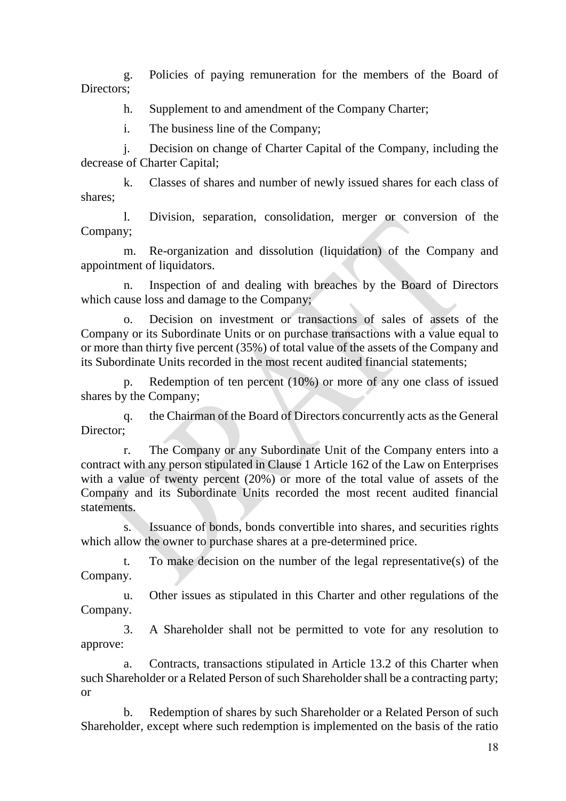g. Policies of paying remuneration for the members of the Board of Directors:

h. Supplement to and amendment of the Company Charter;

i. The business line of the Company;

j. Decision on change of Charter Capital of the Company, including the decrease of Charter Capital;

k. Classes of shares and number of newly issued shares for each class of shares;

l. Division, separation, consolidation, merger or conversion of the Company;

m. Re-organization and dissolution (liquidation) of the Company and appointment of liquidators.

n. Inspection of and dealing with breaches by the Board of Directors which cause loss and damage to the Company;

o. Decision on investment or transactions of sales of assets of the Company or its Subordinate Units or on purchase transactions with a value equal to or more than thirty five percent (35%) of total value of the assets of the Company and its Subordinate Units recorded in the most recent audited financial statements;

p. Redemption of ten percent (10%) or more of any one class of issued shares by the Company;

q. the Chairman of the Board of Directors concurrently acts as the General Director:

r. The Company or any Subordinate Unit of the Company enters into a contract with any person stipulated in Clause 1 Article 162 of the Law on Enterprises with a value of twenty percent (20%) or more of the total value of assets of the Company and its Subordinate Units recorded the most recent audited financial statements.

s. Issuance of bonds, bonds convertible into shares, and securities rights which allow the owner to purchase shares at a pre-determined price.

t. To make decision on the number of the legal representative(s) of the Company.

u. Other issues as stipulated in this Charter and other regulations of the Company.

3. A Shareholder shall not be permitted to vote for any resolution to approve:

a. Contracts, transactions stipulated in Article 13.2 of this Charter when such Shareholder or a Related Person of such Shareholder shall be a contracting party; or

b. Redemption of shares by such Shareholder or a Related Person of such Shareholder, except where such redemption is implemented on the basis of the ratio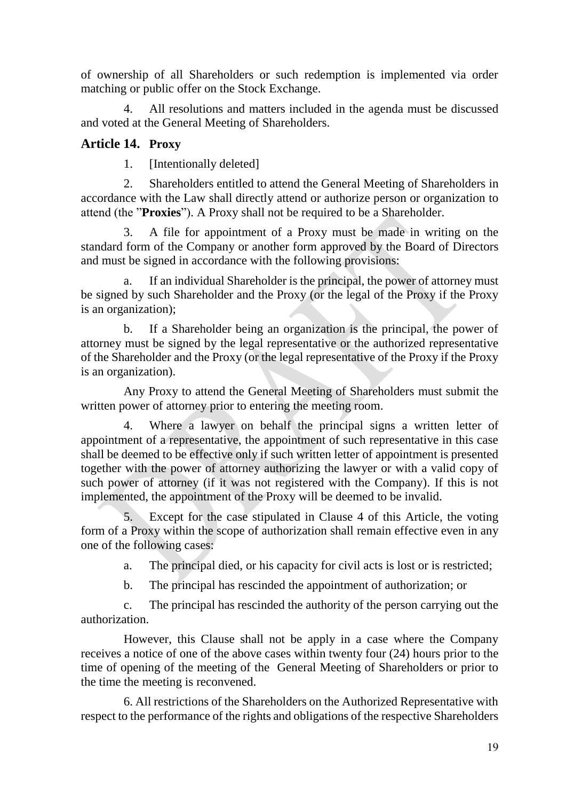of ownership of all Shareholders or such redemption is implemented via order matching or public offer on the Stock Exchange.

4. All resolutions and matters included in the agenda must be discussed and voted at the General Meeting of Shareholders.

## <span id="page-18-0"></span>**Article 14. Proxy**

1. [Intentionally deleted]

2. Shareholders entitled to attend the General Meeting of Shareholders in accordance with the Law shall directly attend or authorize person or organization to attend (the "**Proxies**"). A Proxy shall not be required to be a Shareholder.

3. A file for appointment of a Proxy must be made in writing on the standard form of the Company or another form approved by the Board of Directors and must be signed in accordance with the following provisions:

a. If an individual Shareholder is the principal, the power of attorney must be signed by such Shareholder and the Proxy (or the legal of the Proxy if the Proxy is an organization);

b. If a Shareholder being an organization is the principal, the power of attorney must be signed by the legal representative or the authorized representative of the Shareholder and the Proxy (or the legal representative of the Proxy if the Proxy is an organization).

Any Proxy to attend the General Meeting of Shareholders must submit the written power of attorney prior to entering the meeting room.

4. Where a lawyer on behalf the principal signs a written letter of appointment of a representative, the appointment of such representative in this case shall be deemed to be effective only if such written letter of appointment is presented together with the power of attorney authorizing the lawyer or with a valid copy of such power of attorney (if it was not registered with the Company). If this is not implemented, the appointment of the Proxy will be deemed to be invalid.

5. Except for the case stipulated in Clause 4 of this Article, the voting form of a Proxy within the scope of authorization shall remain effective even in any one of the following cases:

a. The principal died, or his capacity for civil acts is lost or is restricted;

b. The principal has rescinded the appointment of authorization; or

c. The principal has rescinded the authority of the person carrying out the authorization.

However, this Clause shall not be apply in a case where the Company receives a notice of one of the above cases within twenty four (24) hours prior to the time of opening of the meeting of the General Meeting of Shareholders or prior to the time the meeting is reconvened.

6. All restrictions of the Shareholders on the Authorized Representative with respect to the performance of the rights and obligations of the respective Shareholders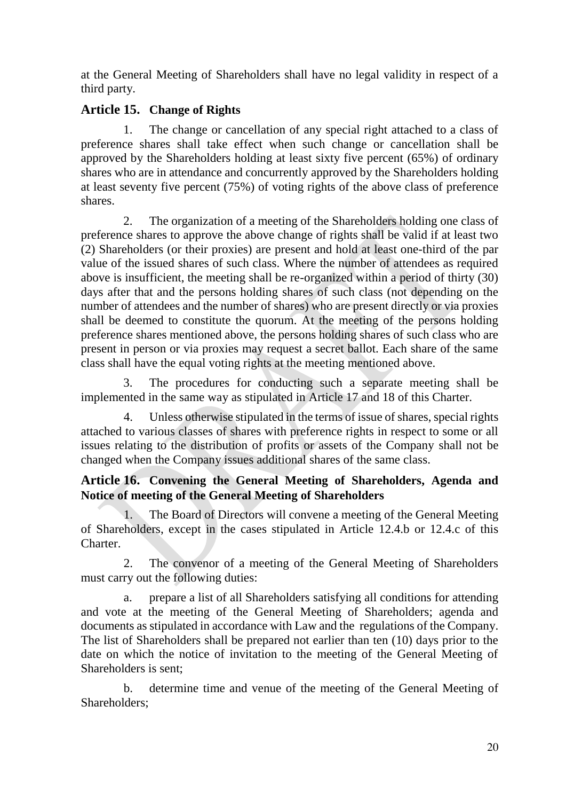at the General Meeting of Shareholders shall have no legal validity in respect of a third party.

## <span id="page-19-0"></span>**Article 15. Change of Rights**

1. The change or cancellation of any special right attached to a class of preference shares shall take effect when such change or cancellation shall be approved by the Shareholders holding at least sixty five percent (65%) of ordinary shares who are in attendance and concurrently approved by the Shareholders holding at least seventy five percent (75%) of voting rights of the above class of preference shares.

2. The organization of a meeting of the Shareholders holding one class of preference shares to approve the above change of rights shall be valid if at least two (2) Shareholders (or their proxies) are present and hold at least one-third of the par value of the issued shares of such class. Where the number of attendees as required above is insufficient, the meeting shall be re-organized within a period of thirty (30) days after that and the persons holding shares of such class (not depending on the number of attendees and the number of shares) who are present directly or via proxies shall be deemed to constitute the quorum. At the meeting of the persons holding preference shares mentioned above, the persons holding shares of such class who are present in person or via proxies may request a secret ballot. Each share of the same class shall have the equal voting rights at the meeting mentioned above.

3. The procedures for conducting such a separate meeting shall be implemented in the same way as stipulated in Article 17 and 18 of this Charter.

4. Unless otherwise stipulated in the terms of issue of shares, special rights attached to various classes of shares with preference rights in respect to some or all issues relating to the distribution of profits or assets of the Company shall not be changed when the Company issues additional shares of the same class.

## <span id="page-19-1"></span>**Article 16. Convening the General Meeting of Shareholders, Agenda and Notice of meeting of the General Meeting of Shareholders**

1. The Board of Directors will convene a meeting of the General Meeting of Shareholders, except in the cases stipulated in Article 12.4.b or 12.4.c of this Charter.

2. The convenor of a meeting of the General Meeting of Shareholders must carry out the following duties:

a. prepare a list of all Shareholders satisfying all conditions for attending and vote at the meeting of the General Meeting of Shareholders; agenda and documents as stipulated in accordance with Law and the regulations of the Company. The list of Shareholders shall be prepared not earlier than ten (10) days prior to the date on which the notice of invitation to the meeting of the General Meeting of Shareholders is sent;

b. determine time and venue of the meeting of the General Meeting of Shareholders;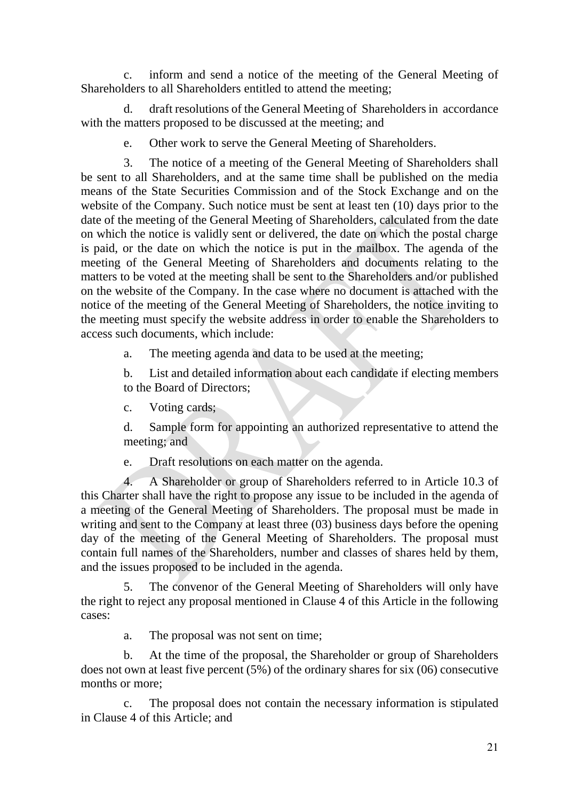c. inform and send a notice of the meeting of the General Meeting of Shareholders to all Shareholders entitled to attend the meeting;

d. draft resolutions of the General Meeting of Shareholders in accordance with the matters proposed to be discussed at the meeting; and

e. Other work to serve the General Meeting of Shareholders.

3. The notice of a meeting of the General Meeting of Shareholders shall be sent to all Shareholders, and at the same time shall be published on the media means of the State Securities Commission and of the Stock Exchange and on the website of the Company. Such notice must be sent at least ten (10) days prior to the date of the meeting of the General Meeting of Shareholders, calculated from the date on which the notice is validly sent or delivered, the date on which the postal charge is paid, or the date on which the notice is put in the mailbox. The agenda of the meeting of the General Meeting of Shareholders and documents relating to the matters to be voted at the meeting shall be sent to the Shareholders and/or published on the website of the Company. In the case where no document is attached with the notice of the meeting of the General Meeting of Shareholders, the notice inviting to the meeting must specify the website address in order to enable the Shareholders to access such documents, which include:

a. The meeting agenda and data to be used at the meeting;

b. List and detailed information about each candidate if electing members to the Board of Directors;

c. Voting cards;

d. Sample form for appointing an authorized representative to attend the meeting; and

e. Draft resolutions on each matter on the agenda.

4. A Shareholder or group of Shareholders referred to in Article 10.3 of this Charter shall have the right to propose any issue to be included in the agenda of a meeting of the General Meeting of Shareholders. The proposal must be made in writing and sent to the Company at least three (03) business days before the opening day of the meeting of the General Meeting of Shareholders. The proposal must contain full names of the Shareholders, number and classes of shares held by them, and the issues proposed to be included in the agenda.

5. The convenor of the General Meeting of Shareholders will only have the right to reject any proposal mentioned in Clause 4 of this Article in the following cases:

a. The proposal was not sent on time;

b. At the time of the proposal, the Shareholder or group of Shareholders does not own at least five percent (5%) of the ordinary shares for six (06) consecutive months or more;

c. The proposal does not contain the necessary information is stipulated in Clause 4 of this Article; and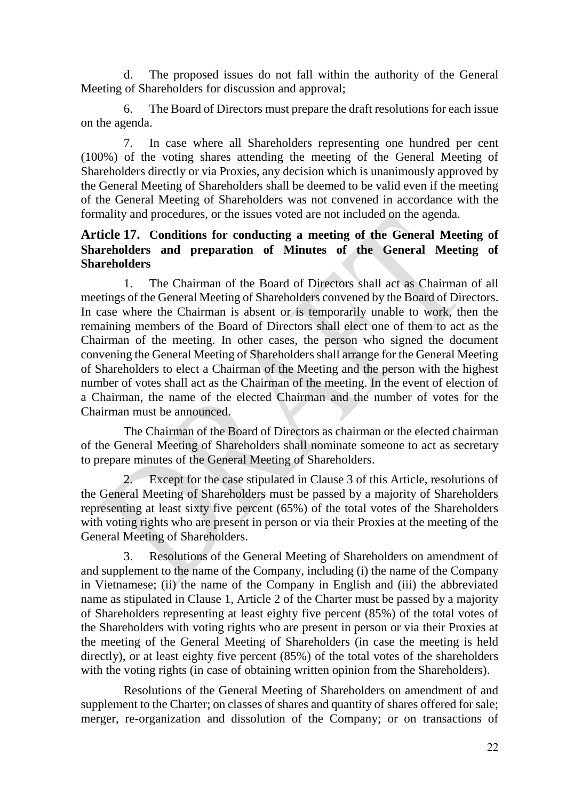d. The proposed issues do not fall within the authority of the General Meeting of Shareholders for discussion and approval;

6. The Board of Directors must prepare the draft resolutions for each issue on the agenda.

7. In case where all Shareholders representing one hundred per cent (100%) of the voting shares attending the meeting of the General Meeting of Shareholders directly or via Proxies, any decision which is unanimously approved by the General Meeting of Shareholders shall be deemed to be valid even if the meeting of the General Meeting of Shareholders was not convened in accordance with the formality and procedures, or the issues voted are not included on the agenda.

## <span id="page-21-0"></span>**Article 17. Conditions for conducting a meeting of the General Meeting of Shareholders and preparation of Minutes of the General Meeting of Shareholders**

1. The Chairman of the Board of Directors shall act as Chairman of all meetings of the General Meeting of Shareholders convened by the Board of Directors. In case where the Chairman is absent or is temporarily unable to work, then the remaining members of the Board of Directors shall elect one of them to act as the Chairman of the meeting. In other cases, the person who signed the document convening the General Meeting of Shareholders shall arrange for the General Meeting of Shareholders to elect a Chairman of the Meeting and the person with the highest number of votes shall act as the Chairman of the meeting. In the event of election of a Chairman, the name of the elected Chairman and the number of votes for the Chairman must be announced.

The Chairman of the Board of Directors as chairman or the elected chairman of the General Meeting of Shareholders shall nominate someone to act as secretary to prepare minutes of the General Meeting of Shareholders.

2. Except for the case stipulated in Clause 3 of this Article, resolutions of the General Meeting of Shareholders must be passed by a majority of Shareholders representing at least sixty five percent (65%) of the total votes of the Shareholders with voting rights who are present in person or via their Proxies at the meeting of the General Meeting of Shareholders.

3. Resolutions of the General Meeting of Shareholders on amendment of and supplement to the name of the Company, including (i) the name of the Company in Vietnamese; (ii) the name of the Company in English and (iii) the abbreviated name as stipulated in Clause 1, Article 2 of the Charter must be passed by a majority of Shareholders representing at least eighty five percent (85%) of the total votes of the Shareholders with voting rights who are present in person or via their Proxies at the meeting of the General Meeting of Shareholders (in case the meeting is held directly), or at least eighty five percent  $(85%)$  of the total votes of the shareholders with the voting rights (in case of obtaining written opinion from the Shareholders).

Resolutions of the General Meeting of Shareholders on amendment of and supplement to the Charter; on classes of shares and quantity of shares offered for sale; merger, re-organization and dissolution of the Company; or on transactions of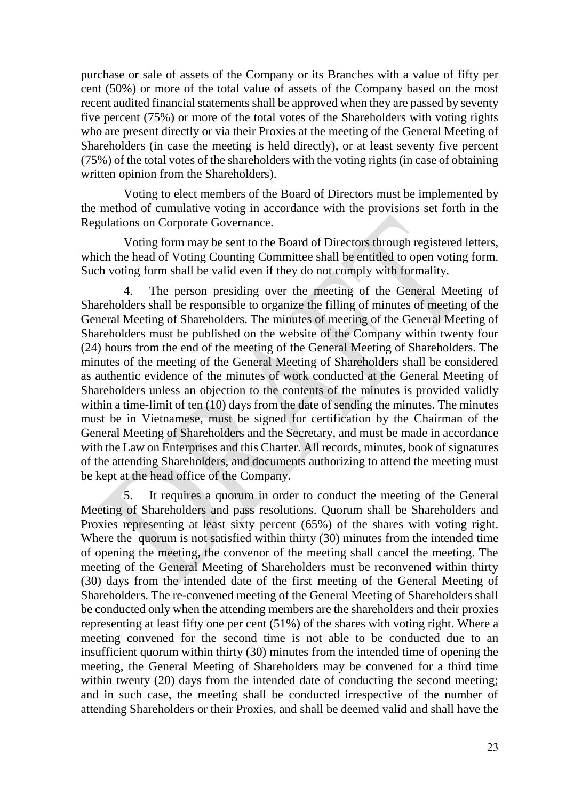purchase or sale of assets of the Company or its Branches with a value of fifty per cent (50%) or more of the total value of assets of the Company based on the most recent audited financial statements shall be approved when they are passed by seventy five percent (75%) or more of the total votes of the Shareholders with voting rights who are present directly or via their Proxies at the meeting of the General Meeting of Shareholders (in case the meeting is held directly), or at least seventy five percent (75%) of the total votes of the shareholders with the voting rights (in case of obtaining written opinion from the Shareholders).

Voting to elect members of the Board of Directors must be implemented by the method of cumulative voting in accordance with the provisions set forth in the Regulations on Corporate Governance.

Voting form may be sent to the Board of Directors through registered letters, which the head of Voting Counting Committee shall be entitled to open voting form. Such voting form shall be valid even if they do not comply with formality.

4. The person presiding over the meeting of the General Meeting of Shareholders shall be responsible to organize the filling of minutes of meeting of the General Meeting of Shareholders. The minutes of meeting of the General Meeting of Shareholders must be published on the website of the Company within twenty four (24) hours from the end of the meeting of the General Meeting of Shareholders. The minutes of the meeting of the General Meeting of Shareholders shall be considered as authentic evidence of the minutes of work conducted at the General Meeting of Shareholders unless an objection to the contents of the minutes is provided validly within a time-limit of ten (10) days from the date of sending the minutes. The minutes must be in Vietnamese, must be signed for certification by the Chairman of the General Meeting of Shareholders and the Secretary, and must be made in accordance with the Law on Enterprises and this Charter. All records, minutes, book of signatures of the attending Shareholders, and documents authorizing to attend the meeting must be kept at the head office of the Company.

5. It requires a quorum in order to conduct the meeting of the General Meeting of Shareholders and pass resolutions. Quorum shall be Shareholders and Proxies representing at least sixty percent (65%) of the shares with voting right. Where the quorum is not satisfied within thirty (30) minutes from the intended time of opening the meeting, the convenor of the meeting shall cancel the meeting. The meeting of the General Meeting of Shareholders must be reconvened within thirty (30) days from the intended date of the first meeting of the General Meeting of Shareholders. The re-convened meeting of the General Meeting of Shareholders shall be conducted only when the attending members are the shareholders and their proxies representing at least fifty one per cent (51%) of the shares with voting right. Where a meeting convened for the second time is not able to be conducted due to an insufficient quorum within thirty (30) minutes from the intended time of opening the meeting, the General Meeting of Shareholders may be convened for a third time within twenty (20) days from the intended date of conducting the second meeting; and in such case, the meeting shall be conducted irrespective of the number of attending Shareholders or their Proxies, and shall be deemed valid and shall have the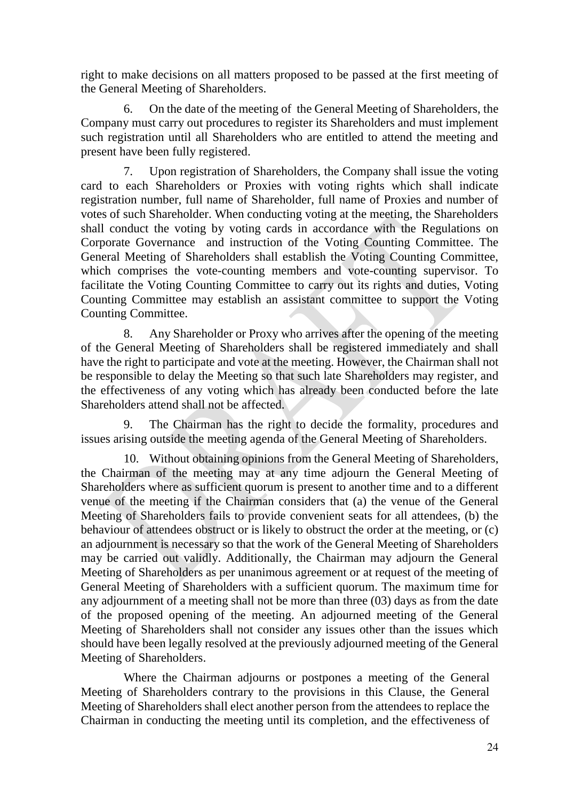right to make decisions on all matters proposed to be passed at the first meeting of the General Meeting of Shareholders.

6. On the date of the meeting of the General Meeting of Shareholders, the Company must carry out procedures to register its Shareholders and must implement such registration until all Shareholders who are entitled to attend the meeting and present have been fully registered.

7. Upon registration of Shareholders, the Company shall issue the voting card to each Shareholders or Proxies with voting rights which shall indicate registration number, full name of Shareholder, full name of Proxies and number of votes of such Shareholder. When conducting voting at the meeting, the Shareholders shall conduct the voting by voting cards in accordance with the Regulations on Corporate Governance and instruction of the Voting Counting Committee. The General Meeting of Shareholders shall establish the Voting Counting Committee, which comprises the vote-counting members and vote-counting supervisor. To facilitate the Voting Counting Committee to carry out its rights and duties, Voting Counting Committee may establish an assistant committee to support the Voting Counting Committee.

8. Any Shareholder or Proxy who arrives after the opening of the meeting of the General Meeting of Shareholders shall be registered immediately and shall have the right to participate and vote at the meeting. However, the Chairman shall not be responsible to delay the Meeting so that such late Shareholders may register, and the effectiveness of any voting which has already been conducted before the late Shareholders attend shall not be affected.

9. The Chairman has the right to decide the formality, procedures and issues arising outside the meeting agenda of the General Meeting of Shareholders.

10. Without obtaining opinions from the General Meeting of Shareholders, the Chairman of the meeting may at any time adjourn the General Meeting of Shareholders where as sufficient quorum is present to another time and to a different venue of the meeting if the Chairman considers that (a) the venue of the General Meeting of Shareholders fails to provide convenient seats for all attendees, (b) the behaviour of attendees obstruct or is likely to obstruct the order at the meeting, or (c) an adjournment is necessary so that the work of the General Meeting of Shareholders may be carried out validly. Additionally, the Chairman may adjourn the General Meeting of Shareholders as per unanimous agreement or at request of the meeting of General Meeting of Shareholders with a sufficient quorum. The maximum time for any adjournment of a meeting shall not be more than three (03) days as from the date of the proposed opening of the meeting. An adjourned meeting of the General Meeting of Shareholders shall not consider any issues other than the issues which should have been legally resolved at the previously adjourned meeting of the General Meeting of Shareholders.

Where the Chairman adjourns or postpones a meeting of the General Meeting of Shareholders contrary to the provisions in this Clause, the General Meeting of Shareholders shall elect another person from the attendees to replace the Chairman in conducting the meeting until its completion, and the effectiveness of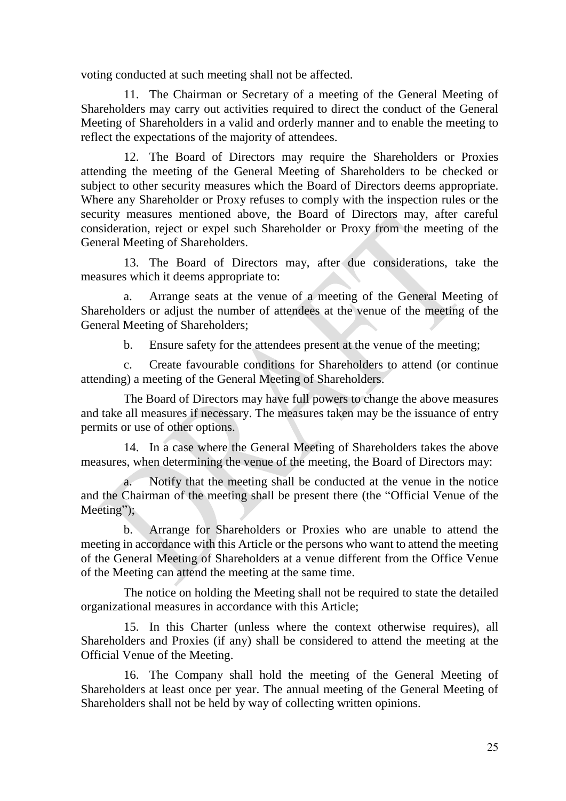voting conducted at such meeting shall not be affected.

11. The Chairman or Secretary of a meeting of the General Meeting of Shareholders may carry out activities required to direct the conduct of the General Meeting of Shareholders in a valid and orderly manner and to enable the meeting to reflect the expectations of the majority of attendees.

12. The Board of Directors may require the Shareholders or Proxies attending the meeting of the General Meeting of Shareholders to be checked or subject to other security measures which the Board of Directors deems appropriate. Where any Shareholder or Proxy refuses to comply with the inspection rules or the security measures mentioned above, the Board of Directors may, after careful consideration, reject or expel such Shareholder or Proxy from the meeting of the General Meeting of Shareholders.

13. The Board of Directors may, after due considerations, take the measures which it deems appropriate to:

a. Arrange seats at the venue of a meeting of the General Meeting of Shareholders or adjust the number of attendees at the venue of the meeting of the General Meeting of Shareholders;

b. Ensure safety for the attendees present at the venue of the meeting;

c. Create favourable conditions for Shareholders to attend (or continue attending) a meeting of the General Meeting of Shareholders.

The Board of Directors may have full powers to change the above measures and take all measures if necessary. The measures taken may be the issuance of entry permits or use of other options.

14. In a case where the General Meeting of Shareholders takes the above measures, when determining the venue of the meeting, the Board of Directors may:

a. Notify that the meeting shall be conducted at the venue in the notice and the Chairman of the meeting shall be present there (the "Official Venue of the Meeting");

b. Arrange for Shareholders or Proxies who are unable to attend the meeting in accordance with this Article or the persons who want to attend the meeting of the General Meeting of Shareholders at a venue different from the Office Venue of the Meeting can attend the meeting at the same time.

The notice on holding the Meeting shall not be required to state the detailed organizational measures in accordance with this Article;

15. In this Charter (unless where the context otherwise requires), all Shareholders and Proxies (if any) shall be considered to attend the meeting at the Official Venue of the Meeting.

16. The Company shall hold the meeting of the General Meeting of Shareholders at least once per year. The annual meeting of the General Meeting of Shareholders shall not be held by way of collecting written opinions.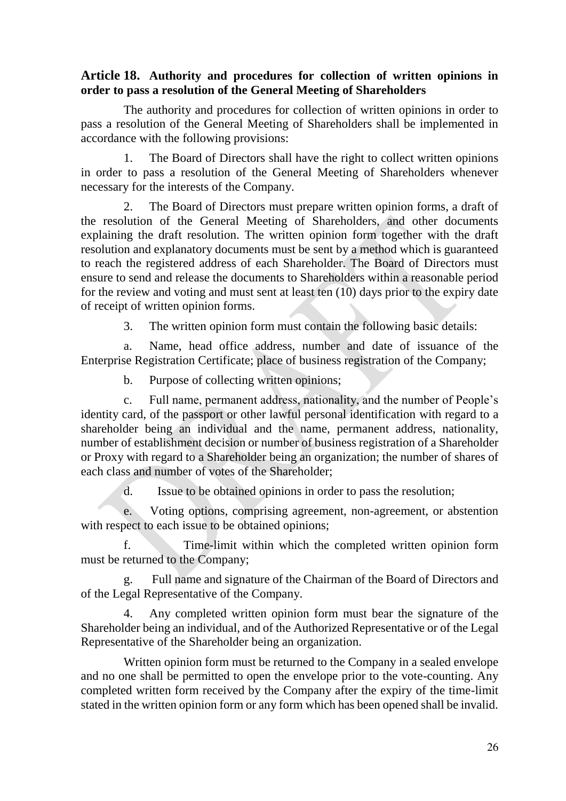#### <span id="page-25-0"></span>**Article 18. Authority and procedures for collection of written opinions in order to pass a resolution of the General Meeting of Shareholders**

The authority and procedures for collection of written opinions in order to pass a resolution of the General Meeting of Shareholders shall be implemented in accordance with the following provisions:

1. The Board of Directors shall have the right to collect written opinions in order to pass a resolution of the General Meeting of Shareholders whenever necessary for the interests of the Company.

The Board of Directors must prepare written opinion forms, a draft of the resolution of the General Meeting of Shareholders, and other documents explaining the draft resolution. The written opinion form together with the draft resolution and explanatory documents must be sent by a method which is guaranteed to reach the registered address of each Shareholder. The Board of Directors must ensure to send and release the documents to Shareholders within a reasonable period for the review and voting and must sent at least ten (10) days prior to the expiry date of receipt of written opinion forms.

3. The written opinion form must contain the following basic details:

a. Name, head office address, number and date of issuance of the Enterprise Registration Certificate; place of business registration of the Company;

b. Purpose of collecting written opinions;

c. Full name, permanent address, nationality, and the number of People's identity card, of the passport or other lawful personal identification with regard to a shareholder being an individual and the name, permanent address, nationality, number of establishment decision or number of business registration of a Shareholder or Proxy with regard to a Shareholder being an organization; the number of shares of each class and number of votes of the Shareholder;

d. Issue to be obtained opinions in order to pass the resolution;

e. Voting options, comprising agreement, non-agreement, or abstention with respect to each issue to be obtained opinions;

f. Time-limit within which the completed written opinion form must be returned to the Company;

g. Full name and signature of the Chairman of the Board of Directors and of the Legal Representative of the Company.

4. Any completed written opinion form must bear the signature of the Shareholder being an individual, and of the Authorized Representative or of the Legal Representative of the Shareholder being an organization.

Written opinion form must be returned to the Company in a sealed envelope and no one shall be permitted to open the envelope prior to the vote-counting. Any completed written form received by the Company after the expiry of the time-limit stated in the written opinion form or any form which has been opened shall be invalid.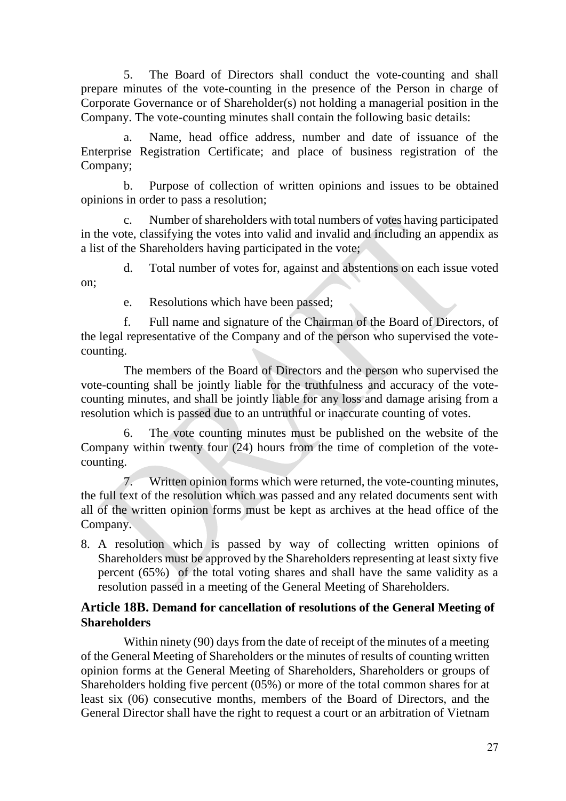5. The Board of Directors shall conduct the vote-counting and shall prepare minutes of the vote-counting in the presence of the Person in charge of Corporate Governance or of Shareholder(s) not holding a managerial position in the Company. The vote-counting minutes shall contain the following basic details:

Name, head office address, number and date of issuance of the Enterprise Registration Certificate; and place of business registration of the Company;

b. Purpose of collection of written opinions and issues to be obtained opinions in order to pass a resolution;

c. Number of shareholders with total numbers of votes having participated in the vote, classifying the votes into valid and invalid and including an appendix as a list of the Shareholders having participated in the vote;

on;

d. Total number of votes for, against and abstentions on each issue voted

e. Resolutions which have been passed;

f. Full name and signature of the Chairman of the Board of Directors, of the legal representative of the Company and of the person who supervised the votecounting.

The members of the Board of Directors and the person who supervised the vote-counting shall be jointly liable for the truthfulness and accuracy of the votecounting minutes, and shall be jointly liable for any loss and damage arising from a resolution which is passed due to an untruthful or inaccurate counting of votes.

6. The vote counting minutes must be published on the website of the Company within twenty four (24) hours from the time of completion of the votecounting.

7. Written opinion forms which were returned, the vote-counting minutes, the full text of the resolution which was passed and any related documents sent with all of the written opinion forms must be kept as archives at the head office of the Company.

8. A resolution which is passed by way of collecting written opinions of Shareholders must be approved by the Shareholders representing at least sixty five percent (65%) of the total voting shares and shall have the same validity as a resolution passed in a meeting of the General Meeting of Shareholders.

## <span id="page-26-0"></span>**Article 18B. Demand for cancellation of resolutions of the General Meeting of Shareholders**

Within ninety (90) days from the date of receipt of the minutes of a meeting of the General Meeting of Shareholders or the minutes of results of counting written opinion forms at the General Meeting of Shareholders, Shareholders or groups of Shareholders holding five percent (05%) or more of the total common shares for at least six (06) consecutive months, members of the Board of Directors, and the General Director shall have the right to request a court or an arbitration of Vietnam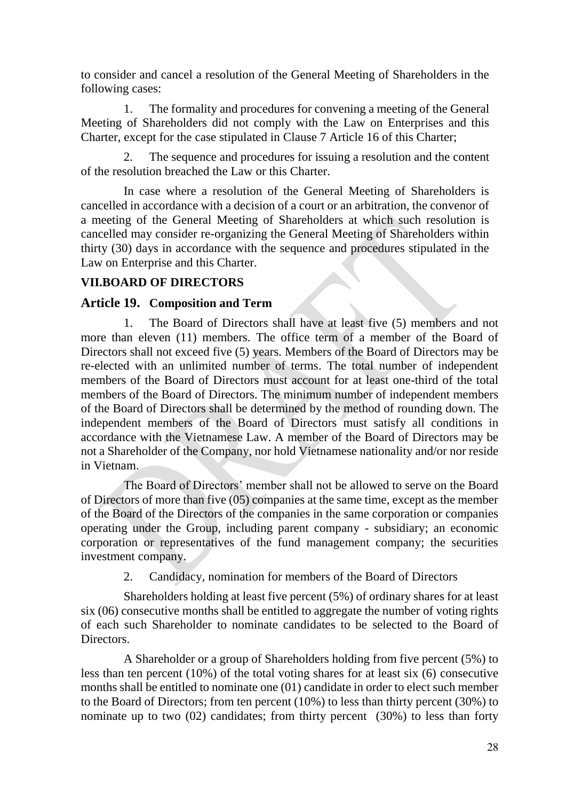to consider and cancel a resolution of the General Meeting of Shareholders in the following cases:

1. The formality and procedures for convening a meeting of the General Meeting of Shareholders did not comply with the Law on Enterprises and this Charter, except for the case stipulated in Clause 7 Article 16 of this Charter;

2. The sequence and procedures for issuing a resolution and the content of the resolution breached the Law or this Charter.

In case where a resolution of the General Meeting of Shareholders is cancelled in accordance with a decision of a court or an arbitration, the convenor of a meeting of the General Meeting of Shareholders at which such resolution is cancelled may consider re-organizing the General Meeting of Shareholders within thirty (30) days in accordance with the sequence and procedures stipulated in the Law on Enterprise and this Charter.

## <span id="page-27-0"></span>**VII.BOARD OF DIRECTORS**

### <span id="page-27-1"></span>**Article 19. Composition and Term**

1. The Board of Directors shall have at least five (5) members and not more than eleven (11) members. The office term of a member of the Board of Directors shall not exceed five (5) years. Members of the Board of Directors may be re-elected with an unlimited number of terms. The total number of independent members of the Board of Directors must account for at least one-third of the total members of the Board of Directors. The minimum number of independent members of the Board of Directors shall be determined by the method of rounding down. The independent members of the Board of Directors must satisfy all conditions in accordance with the Vietnamese Law. A member of the Board of Directors may be not a Shareholder of the Company, nor hold Vietnamese nationality and/or nor reside in Vietnam.

The Board of Directors' member shall not be allowed to serve on the Board of Directors of more than five (05) companies at the same time, except as the member of the Board of the Directors of the companies in the same corporation or companies operating under the Group, including parent company - subsidiary; an economic corporation or representatives of the fund management company; the securities investment company.

2. Candidacy, nomination for members of the Board of Directors

Shareholders holding at least five percent (5%) of ordinary shares for at least six (06) consecutive months shall be entitled to aggregate the number of voting rights of each such Shareholder to nominate candidates to be selected to the Board of Directors.

A Shareholder or a group of Shareholders holding from five percent (5%) to less than ten percent (10%) of the total voting shares for at least six (6) consecutive months shall be entitled to nominate one (01) candidate in order to elect such member to the Board of Directors; from ten percent (10%) to less than thirty percent (30%) to nominate up to two  $(02)$  candidates; from thirty percent  $(30\%)$  to less than forty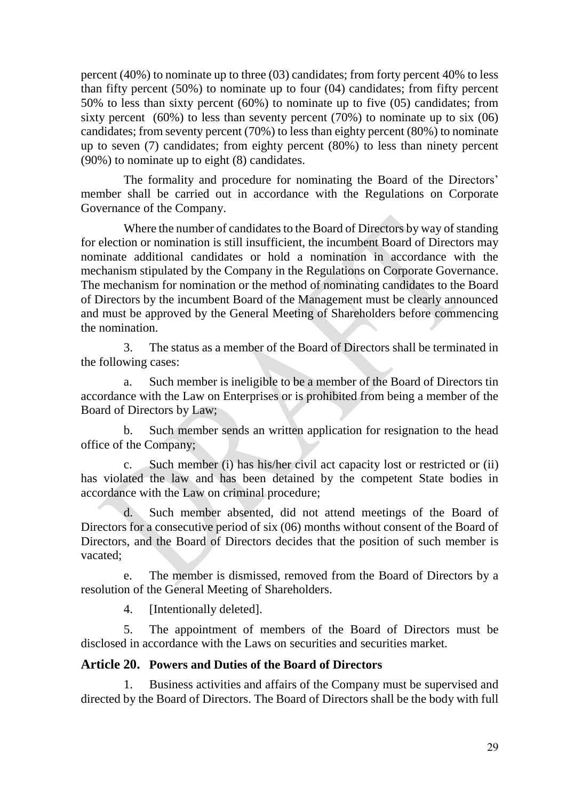percent (40%) to nominate up to three (03) candidates; from forty percent 40% to less than fifty percent (50%) to nominate up to four (04) candidates; from fifty percent 50% to less than sixty percent (60%) to nominate up to five (05) candidates; from sixty percent  $(60\%)$  to less than seventy percent  $(70\%)$  to nominate up to six  $(06)$ candidates; from seventy percent (70%) to less than eighty percent (80%) to nominate up to seven (7) candidates; from eighty percent (80%) to less than ninety percent (90%) to nominate up to eight (8) candidates.

The formality and procedure for nominating the Board of the Directors' member shall be carried out in accordance with the Regulations on Corporate Governance of the Company.

Where the number of candidates to the Board of Directors by way of standing for election or nomination is still insufficient, the incumbent Board of Directors may nominate additional candidates or hold a nomination in accordance with the mechanism stipulated by the Company in the Regulations on Corporate Governance. The mechanism for nomination or the method of nominating candidates to the Board of Directors by the incumbent Board of the Management must be clearly announced and must be approved by the General Meeting of Shareholders before commencing the nomination.

3. The status as a member of the Board of Directors shall be terminated in the following cases:

a. Such member is ineligible to be a member of the Board of Directors tin accordance with the Law on Enterprises or is prohibited from being a member of the Board of Directors by Law;

b. Such member sends an written application for resignation to the head office of the Company;

c. Such member (i) has his/her civil act capacity lost or restricted or (ii) has violated the law and has been detained by the competent State bodies in accordance with the Law on criminal procedure;

d. Such member absented, did not attend meetings of the Board of Directors for a consecutive period of six (06) months without consent of the Board of Directors, and the Board of Directors decides that the position of such member is vacated;

e. The member is dismissed, removed from the Board of Directors by a resolution of the General Meeting of Shareholders.

4. [Intentionally deleted].

5. The appointment of members of the Board of Directors must be disclosed in accordance with the Laws on securities and securities market.

#### <span id="page-28-0"></span>**Article 20. Powers and Duties of the Board of Directors**

1. Business activities and affairs of the Company must be supervised and directed by the Board of Directors. The Board of Directors shall be the body with full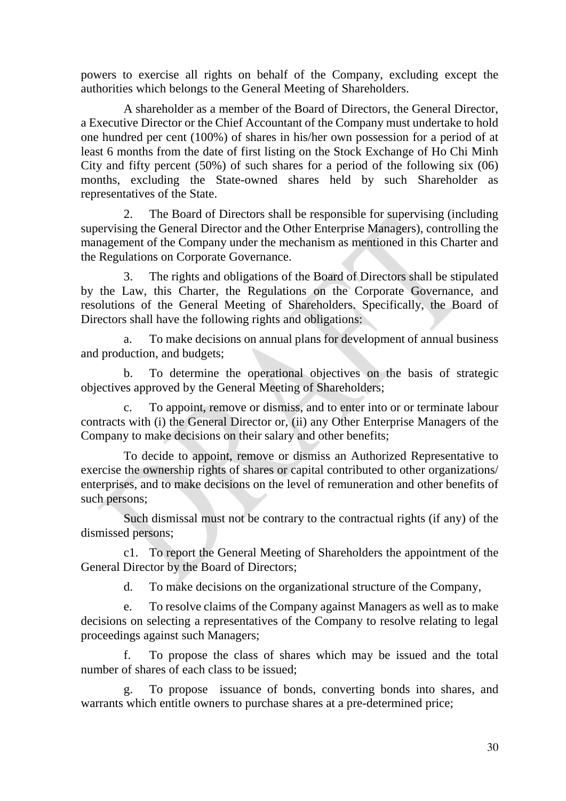powers to exercise all rights on behalf of the Company, excluding except the authorities which belongs to the General Meeting of Shareholders.

A shareholder as a member of the Board of Directors, the General Director, a Executive Director or the Chief Accountant of the Company must undertake to hold one hundred per cent (100%) of shares in his/her own possession for a period of at least 6 months from the date of first listing on the Stock Exchange of Ho Chi Minh City and fifty percent (50%) of such shares for a period of the following six (06) months, excluding the State-owned shares held by such Shareholder as representatives of the State.

2. The Board of Directors shall be responsible for supervising (including supervising the General Director and the Other Enterprise Managers), controlling the management of the Company under the mechanism as mentioned in this Charter and the Regulations on Corporate Governance.

3. The rights and obligations of the Board of Directors shall be stipulated by the Law, this Charter, the Regulations on the Corporate Governance, and resolutions of the General Meeting of Shareholders. Specifically, the Board of Directors shall have the following rights and obligations:

a. To make decisions on annual plans for development of annual business and production, and budgets;

b. To determine the operational objectives on the basis of strategic objectives approved by the General Meeting of Shareholders;

c. To appoint, remove or dismiss, and to enter into or or terminate labour contracts with (i) the General Director or, (ii) any Other Enterprise Managers of the Company to make decisions on their salary and other benefits;

To decide to appoint, remove or dismiss an Authorized Representative to exercise the ownership rights of shares or capital contributed to other organizations/ enterprises, and to make decisions on the level of remuneration and other benefits of such persons;

Such dismissal must not be contrary to the contractual rights (if any) of the dismissed persons;

c1. To report the General Meeting of Shareholders the appointment of the General Director by the Board of Directors;

d. To make decisions on the organizational structure of the Company,

e. To resolve claims of the Company against Managers as well as to make decisions on selecting a representatives of the Company to resolve relating to legal proceedings against such Managers;

f. To propose the class of shares which may be issued and the total number of shares of each class to be issued;

g. To propose issuance of bonds, converting bonds into shares, and warrants which entitle owners to purchase shares at a pre-determined price;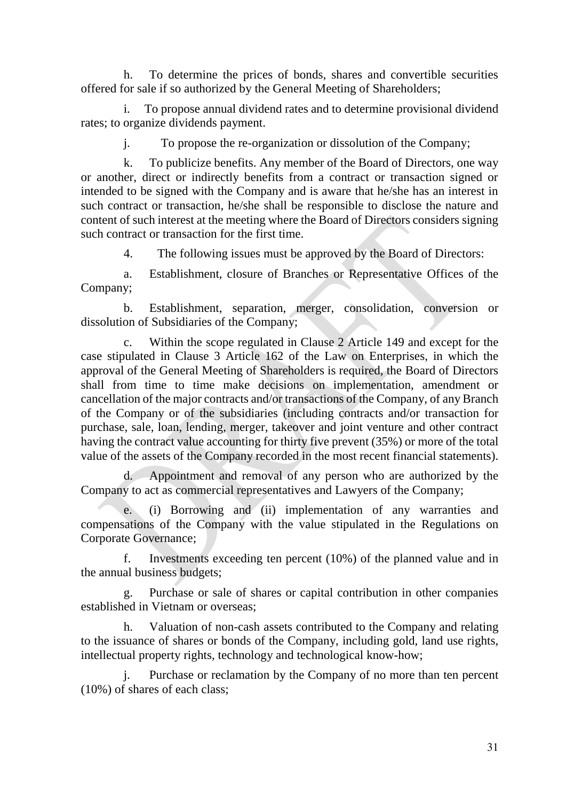h. To determine the prices of bonds, shares and convertible securities offered for sale if so authorized by the General Meeting of Shareholders;

i. To propose annual dividend rates and to determine provisional dividend rates; to organize dividends payment.

j. To propose the re-organization or dissolution of the Company;

k. To publicize benefits. Any member of the Board of Directors, one way or another, direct or indirectly benefits from a contract or transaction signed or intended to be signed with the Company and is aware that he/she has an interest in such contract or transaction, he/she shall be responsible to disclose the nature and content of such interest at the meeting where the Board of Directors considers signing such contract or transaction for the first time.

4. The following issues must be approved by the Board of Directors:

a. Establishment, closure of Branches or Representative Offices of the Company;

b. Establishment, separation, merger, consolidation, conversion or dissolution of Subsidiaries of the Company;

c. Within the scope regulated in Clause 2 Article 149 and except for the case stipulated in Clause 3 Article 162 of the Law on Enterprises, in which the approval of the General Meeting of Shareholders is required, the Board of Directors shall from time to time make decisions on implementation, amendment or cancellation of the major contracts and/or transactions of the Company, of any Branch of the Company or of the subsidiaries (including contracts and/or transaction for purchase, sale, loan, lending, merger, takeover and joint venture and other contract having the contract value accounting for thirty five prevent (35%) or more of the total value of the assets of the Company recorded in the most recent financial statements).

d. Appointment and removal of any person who are authorized by the Company to act as commercial representatives and Lawyers of the Company;

e. (i) Borrowing and (ii) implementation of any warranties and compensations of the Company with the value stipulated in the Regulations on Corporate Governance;

f. Investments exceeding ten percent (10%) of the planned value and in the annual business budgets;

g. Purchase or sale of shares or capital contribution in other companies established in Vietnam or overseas;

h. Valuation of non-cash assets contributed to the Company and relating to the issuance of shares or bonds of the Company, including gold, land use rights, intellectual property rights, technology and technological know-how;

Purchase or reclamation by the Company of no more than ten percent (10%) of shares of each class;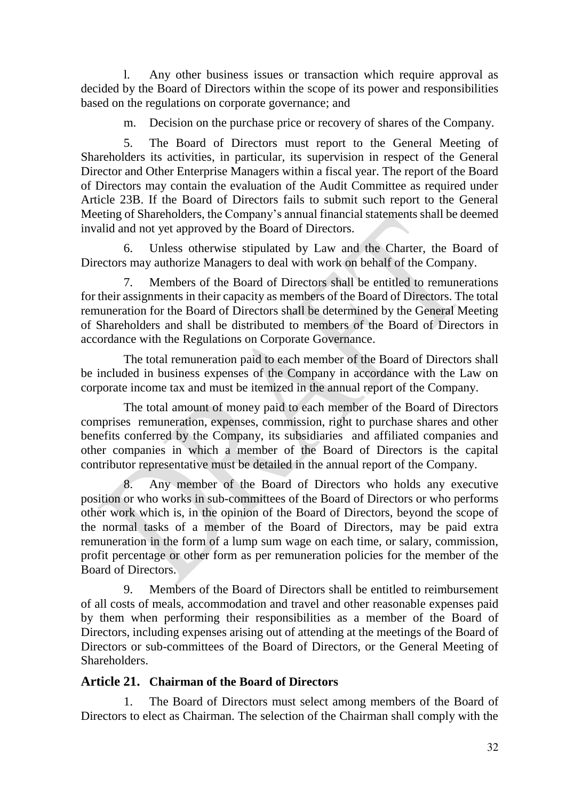l. Any other business issues or transaction which require approval as decided by the Board of Directors within the scope of its power and responsibilities based on the regulations on corporate governance; and

m. Decision on the purchase price or recovery of shares of the Company.

5. The Board of Directors must report to the General Meeting of Shareholders its activities, in particular, its supervision in respect of the General Director and Other Enterprise Managers within a fiscal year. The report of the Board of Directors may contain the evaluation of the Audit Committee as required under Article 23B. If the Board of Directors fails to submit such report to the General Meeting of Shareholders, the Company's annual financial statements shall be deemed invalid and not yet approved by the Board of Directors.

6. Unless otherwise stipulated by Law and the Charter, the Board of Directors may authorize Managers to deal with work on behalf of the Company.

7. Members of the Board of Directors shall be entitled to remunerations for their assignments in their capacity as members of the Board of Directors. The total remuneration for the Board of Directors shall be determined by the General Meeting of Shareholders and shall be distributed to members of the Board of Directors in accordance with the Regulations on Corporate Governance.

The total remuneration paid to each member of the Board of Directors shall be included in business expenses of the Company in accordance with the Law on corporate income tax and must be itemized in the annual report of the Company.

The total amount of money paid to each member of the Board of Directors comprises remuneration, expenses, commission, right to purchase shares and other benefits conferred by the Company, its subsidiaries and affiliated companies and other companies in which a member of the Board of Directors is the capital contributor representative must be detailed in the annual report of the Company.

Any member of the Board of Directors who holds any executive position or who works in sub-committees of the Board of Directors or who performs other work which is, in the opinion of the Board of Directors, beyond the scope of the normal tasks of a member of the Board of Directors, may be paid extra remuneration in the form of a lump sum wage on each time, or salary, commission, profit percentage or other form as per remuneration policies for the member of the Board of Directors.

9. Members of the Board of Directors shall be entitled to reimbursement of all costs of meals, accommodation and travel and other reasonable expenses paid by them when performing their responsibilities as a member of the Board of Directors, including expenses arising out of attending at the meetings of the Board of Directors or sub-committees of the Board of Directors, or the General Meeting of Shareholders.

## <span id="page-31-0"></span>**Article 21. Chairman of the Board of Directors**

1. The Board of Directors must select among members of the Board of Directors to elect as Chairman. The selection of the Chairman shall comply with the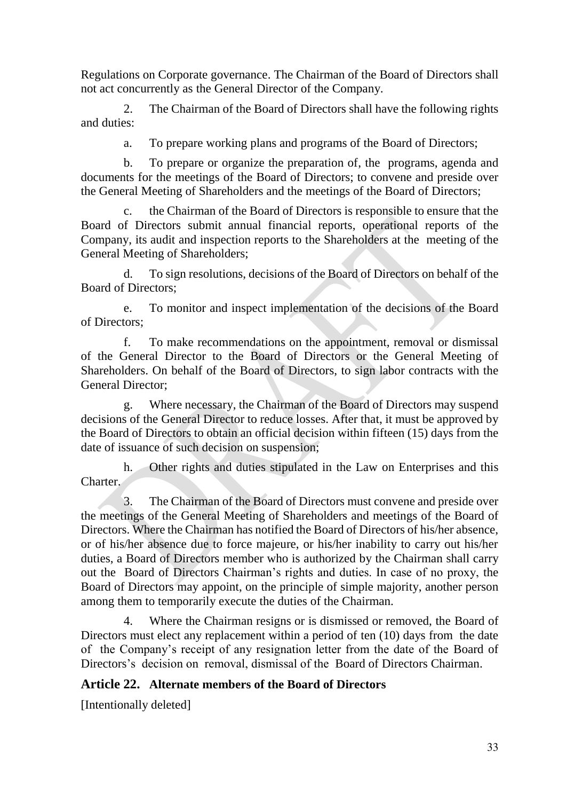Regulations on Corporate governance. The Chairman of the Board of Directors shall not act concurrently as the General Director of the Company.

2. The Chairman of the Board of Directors shall have the following rights and duties:

a. To prepare working plans and programs of the Board of Directors;

b. To prepare or organize the preparation of, the programs, agenda and documents for the meetings of the Board of Directors; to convene and preside over the General Meeting of Shareholders and the meetings of the Board of Directors;

c. the Chairman of the Board of Directors is responsible to ensure that the Board of Directors submit annual financial reports, operational reports of the Company, its audit and inspection reports to the Shareholders at the meeting of the General Meeting of Shareholders;

d. To sign resolutions, decisions of the Board of Directors on behalf of the Board of Directors;

e. To monitor and inspect implementation of the decisions of the Board of Directors;

f. To make recommendations on the appointment, removal or dismissal of the General Director to the Board of Directors or the General Meeting of Shareholders. On behalf of the Board of Directors, to sign labor contracts with the General Director;

g. Where necessary, the Chairman of the Board of Directors may suspend decisions of the General Director to reduce losses. After that, it must be approved by the Board of Directors to obtain an official decision within fifteen (15) days from the date of issuance of such decision on suspension;

h. Other rights and duties stipulated in the Law on Enterprises and this Charter.

3. The Chairman of the Board of Directors must convene and preside over the meetings of the General Meeting of Shareholders and meetings of the Board of Directors. Where the Chairman has notified the Board of Directors of his/her absence, or of his/her absence due to force majeure, or his/her inability to carry out his/her duties, a Board of Directors member who is authorized by the Chairman shall carry out the Board of Directors Chairman's rights and duties. In case of no proxy, the Board of Directors may appoint, on the principle of simple majority, another person among them to temporarily execute the duties of the Chairman.

4. Where the Chairman resigns or is dismissed or removed, the Board of Directors must elect any replacement within a period of ten (10) days from the date of the Company's receipt of any resignation letter from the date of the Board of Directors's decision on removal, dismissal of the Board of Directors Chairman.

## <span id="page-32-0"></span>**Article 22. Alternate members of the Board of Directors**

[Intentionally deleted]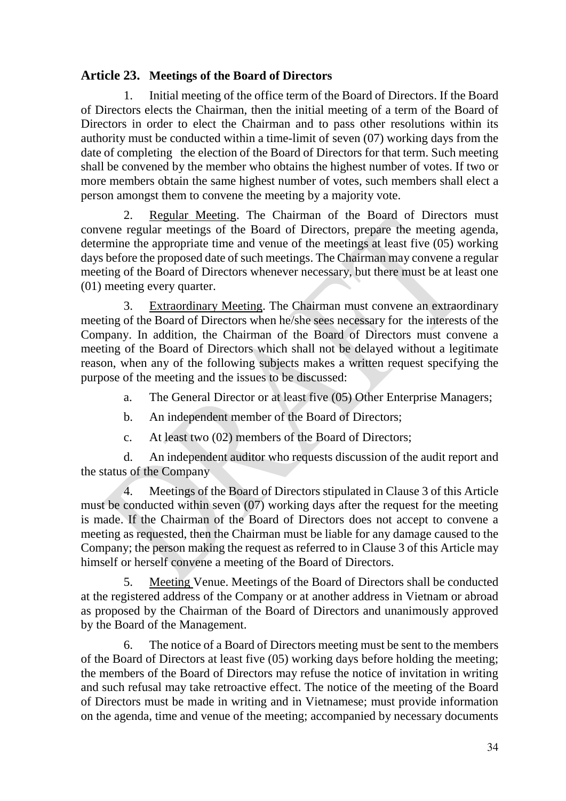## <span id="page-33-0"></span>**Article 23. Meetings of the Board of Directors**

1. Initial meeting of the office term of the Board of Directors. If the Board of Directors elects the Chairman, then the initial meeting of a term of the Board of Directors in order to elect the Chairman and to pass other resolutions within its authority must be conducted within a time-limit of seven (07) working days from the date of completing the election of the Board of Directors for that term. Such meeting shall be convened by the member who obtains the highest number of votes. If two or more members obtain the same highest number of votes, such members shall elect a person amongst them to convene the meeting by a majority vote.

2. Regular Meeting. The Chairman of the Board of Directors must convene regular meetings of the Board of Directors, prepare the meeting agenda, determine the appropriate time and venue of the meetings at least five (05) working days before the proposed date of such meetings. The Chairman may convene a regular meeting of the Board of Directors whenever necessary, but there must be at least one (01) meeting every quarter.

3. Extraordinary Meeting. The Chairman must convene an extraordinary meeting of the Board of Directors when he/she sees necessary for the interests of the Company. In addition, the Chairman of the Board of Directors must convene a meeting of the Board of Directors which shall not be delayed without a legitimate reason, when any of the following subjects makes a written request specifying the purpose of the meeting and the issues to be discussed:

a. The General Director or at least five (05) Other Enterprise Managers;

- b. An independent member of the Board of Directors;
- c. At least two (02) members of the Board of Directors;

d. An independent auditor who requests discussion of the audit report and the status of the Company

4. Meetings of the Board of Directors stipulated in Clause 3 of this Article must be conducted within seven (07) working days after the request for the meeting is made. If the Chairman of the Board of Directors does not accept to convene a meeting as requested, then the Chairman must be liable for any damage caused to the Company; the person making the request as referred to in Clause 3 of this Article may himself or herself convene a meeting of the Board of Directors.

5. Meeting Venue. Meetings of the Board of Directors shall be conducted at the registered address of the Company or at another address in Vietnam or abroad as proposed by the Chairman of the Board of Directors and unanimously approved by the Board of the Management.

6. The notice of a Board of Directors meeting must be sent to the members of the Board of Directors at least five (05) working days before holding the meeting; the members of the Board of Directors may refuse the notice of invitation in writing and such refusal may take retroactive effect. The notice of the meeting of the Board of Directors must be made in writing and in Vietnamese; must provide information on the agenda, time and venue of the meeting; accompanied by necessary documents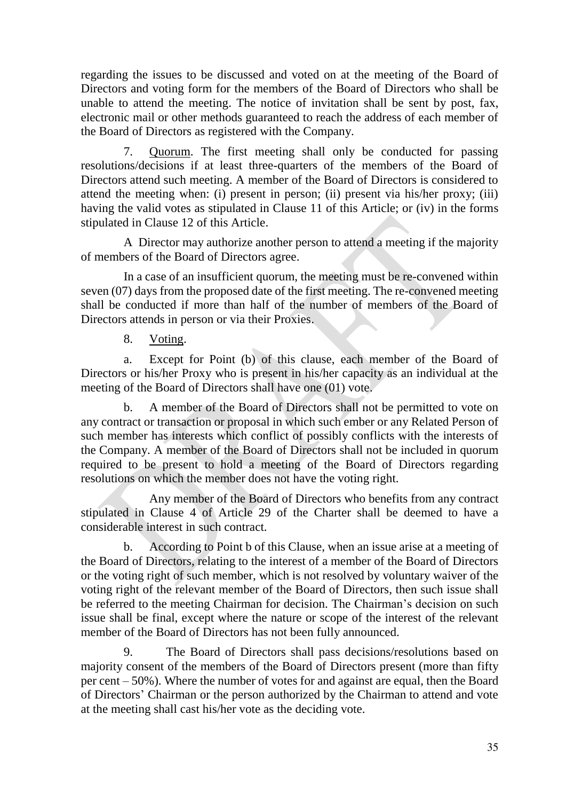regarding the issues to be discussed and voted on at the meeting of the Board of Directors and voting form for the members of the Board of Directors who shall be unable to attend the meeting. The notice of invitation shall be sent by post, fax, electronic mail or other methods guaranteed to reach the address of each member of the Board of Directors as registered with the Company.

7. Quorum. The first meeting shall only be conducted for passing resolutions/decisions if at least three-quarters of the members of the Board of Directors attend such meeting. A member of the Board of Directors is considered to attend the meeting when: (i) present in person; (ii) present via his/her proxy; (iii) having the valid votes as stipulated in Clause 11 of this Article; or (iv) in the forms stipulated in Clause 12 of this Article.

A Director may authorize another person to attend a meeting if the majority of members of the Board of Directors agree.

In a case of an insufficient quorum, the meeting must be re-convened within seven (07) days from the proposed date of the first meeting. The re-convened meeting shall be conducted if more than half of the number of members of the Board of Directors attends in person or via their Proxies.

8. Voting.

a. Except for Point (b) of this clause, each member of the Board of Directors or his/her Proxy who is present in his/her capacity as an individual at the meeting of the Board of Directors shall have one (01) vote.

b. A member of the Board of Directors shall not be permitted to vote on any contract or transaction or proposal in which such ember or any Related Person of such member has interests which conflict of possibly conflicts with the interests of the Company. A member of the Board of Directors shall not be included in quorum required to be present to hold a meeting of the Board of Directors regarding resolutions on which the member does not have the voting right.

Any member of the Board of Directors who benefits from any contract stipulated in Clause 4 of Article 29 of the Charter shall be deemed to have a considerable interest in such contract.

b. According to Point b of this Clause, when an issue arise at a meeting of the Board of Directors, relating to the interest of a member of the Board of Directors or the voting right of such member, which is not resolved by voluntary waiver of the voting right of the relevant member of the Board of Directors, then such issue shall be referred to the meeting Chairman for decision. The Chairman's decision on such issue shall be final, except where the nature or scope of the interest of the relevant member of the Board of Directors has not been fully announced.

9. The Board of Directors shall pass decisions/resolutions based on majority consent of the members of the Board of Directors present (more than fifty per cent – 50%). Where the number of votes for and against are equal, then the Board of Directors' Chairman or the person authorized by the Chairman to attend and vote at the meeting shall cast his/her vote as the deciding vote.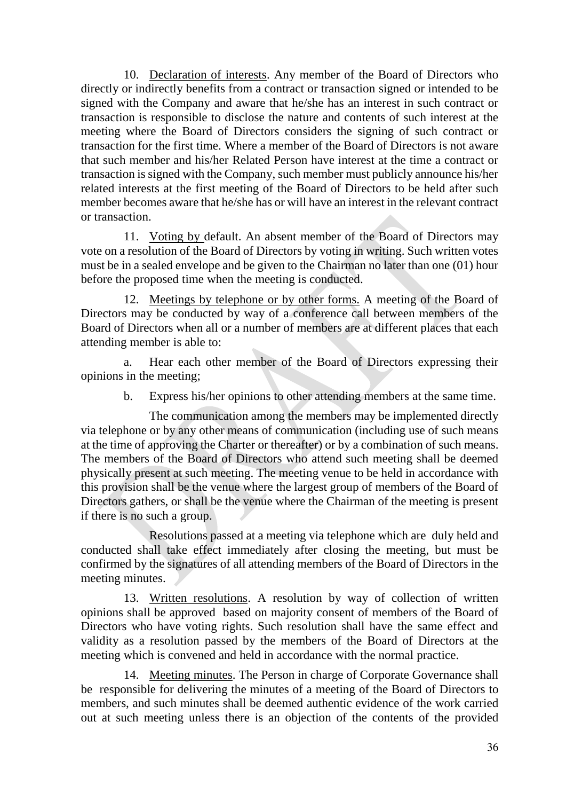10. Declaration of interests. Any member of the Board of Directors who directly or indirectly benefits from a contract or transaction signed or intended to be signed with the Company and aware that he/she has an interest in such contract or transaction is responsible to disclose the nature and contents of such interest at the meeting where the Board of Directors considers the signing of such contract or transaction for the first time. Where a member of the Board of Directors is not aware that such member and his/her Related Person have interest at the time a contract or transaction is signed with the Company, such member must publicly announce his/her related interests at the first meeting of the Board of Directors to be held after such member becomes aware that he/she has or will have an interest in the relevant contract or transaction.

11. Voting by default. An absent member of the Board of Directors may vote on a resolution of the Board of Directors by voting in writing. Such written votes must be in a sealed envelope and be given to the Chairman no later than one (01) hour before the proposed time when the meeting is conducted.

12. Meetings by telephone or by other forms. A meeting of the Board of Directors may be conducted by way of a conference call between members of the Board of Directors when all or a number of members are at different places that each attending member is able to:

a. Hear each other member of the Board of Directors expressing their opinions in the meeting;

b. Express his/her opinions to other attending members at the same time.

The communication among the members may be implemented directly via telephone or by any other means of communication (including use of such means at the time of approving the Charter or thereafter) or by a combination of such means. The members of the Board of Directors who attend such meeting shall be deemed physically present at such meeting. The meeting venue to be held in accordance with this provision shall be the venue where the largest group of members of the Board of Directors gathers, or shall be the venue where the Chairman of the meeting is present if there is no such a group.

Resolutions passed at a meeting via telephone which are duly held and conducted shall take effect immediately after closing the meeting, but must be confirmed by the signatures of all attending members of the Board of Directors in the meeting minutes.

13. Written resolutions. A resolution by way of collection of written opinions shall be approved based on majority consent of members of the Board of Directors who have voting rights. Such resolution shall have the same effect and validity as a resolution passed by the members of the Board of Directors at the meeting which is convened and held in accordance with the normal practice.

14. Meeting minutes. The Person in charge of Corporate Governance shall be responsible for delivering the minutes of a meeting of the Board of Directors to members, and such minutes shall be deemed authentic evidence of the work carried out at such meeting unless there is an objection of the contents of the provided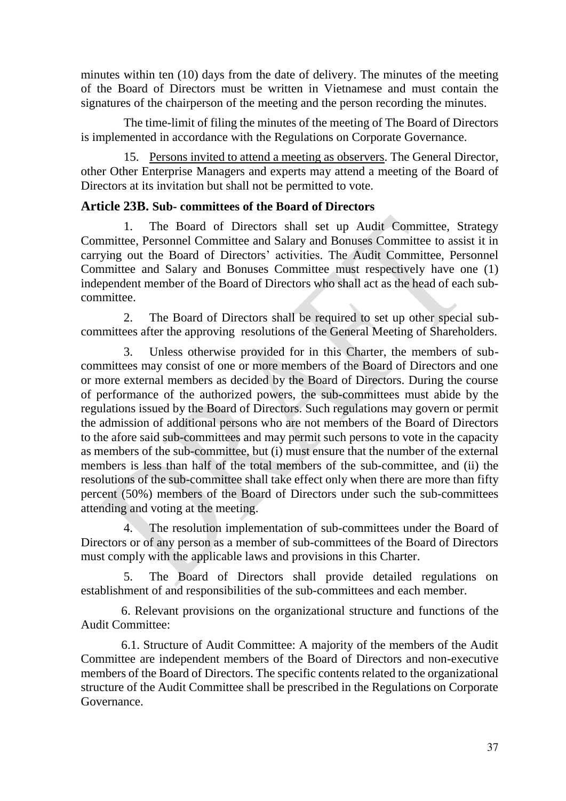minutes within ten (10) days from the date of delivery. The minutes of the meeting of the Board of Directors must be written in Vietnamese and must contain the signatures of the chairperson of the meeting and the person recording the minutes.

The time-limit of filing the minutes of the meeting of The Board of Directors is implemented in accordance with the Regulations on Corporate Governance.

15. Persons invited to attend a meeting as observers. The General Director, other Other Enterprise Managers and experts may attend a meeting of the Board of Directors at its invitation but shall not be permitted to vote.

### <span id="page-36-0"></span>**Article 23B. Sub- committees of the Board of Directors**

1. The Board of Directors shall set up Audit Committee, Strategy Committee, Personnel Committee and Salary and Bonuses Committee to assist it in carrying out the Board of Directors' activities. The Audit Committee, Personnel Committee and Salary and Bonuses Committee must respectively have one (1) independent member of the Board of Directors who shall act as the head of each subcommittee.

2. The Board of Directors shall be required to set up other special subcommittees after the approving resolutions of the General Meeting of Shareholders.

3. Unless otherwise provided for in this Charter, the members of subcommittees may consist of one or more members of the Board of Directors and one or more external members as decided by the Board of Directors. During the course of performance of the authorized powers, the sub-committees must abide by the regulations issued by the Board of Directors. Such regulations may govern or permit the admission of additional persons who are not members of the Board of Directors to the afore said sub-committees and may permit such persons to vote in the capacity as members of the sub-committee, but (i) must ensure that the number of the external members is less than half of the total members of the sub-committee, and (ii) the resolutions of the sub-committee shall take effect only when there are more than fifty percent (50%) members of the Board of Directors under such the sub-committees attending and voting at the meeting.

4. The resolution implementation of sub-committees under the Board of Directors or of any person as a member of sub-committees of the Board of Directors must comply with the applicable laws and provisions in this Charter.

5. The Board of Directors shall provide detailed regulations on establishment of and responsibilities of the sub-committees and each member.

6. Relevant provisions on the organizational structure and functions of the Audit Committee:

6.1. Structure of Audit Committee: A majority of the members of the Audit Committee are independent members of the Board of Directors and non-executive members of the Board of Directors. The specific contents related to the organizational structure of the Audit Committee shall be prescribed in the Regulations on Corporate Governance.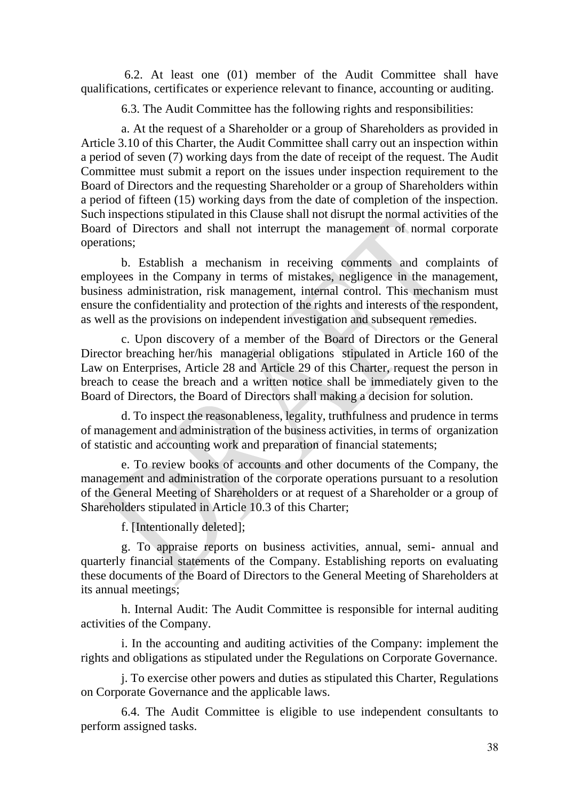6.2. At least one (01) member of the Audit Committee shall have qualifications, certificates or experience relevant to finance, accounting or auditing.

6.3. The Audit Committee has the following rights and responsibilities:

a. At the request of a Shareholder or a group of Shareholders as provided in Article 3.10 of this Charter, the Audit Committee shall carry out an inspection within a period of seven (7) working days from the date of receipt of the request. The Audit Committee must submit a report on the issues under inspection requirement to the Board of Directors and the requesting Shareholder or a group of Shareholders within a period of fifteen (15) working days from the date of completion of the inspection. Such inspections stipulated in this Clause shall not disrupt the normal activities of the Board of Directors and shall not interrupt the management of normal corporate operations;

b. Establish a mechanism in receiving comments and complaints of employees in the Company in terms of mistakes, negligence in the management, business administration, risk management, internal control. This mechanism must ensure the confidentiality and protection of the rights and interests of the respondent, as well as the provisions on independent investigation and subsequent remedies.

c. Upon discovery of a member of the Board of Directors or the General Director breaching her/his managerial obligations stipulated in Article 160 of the Law on Enterprises, Article 28 and Article 29 of this Charter, request the person in breach to cease the breach and a written notice shall be immediately given to the Board of Directors, the Board of Directors shall making a decision for solution.

d. To inspect the reasonableness, legality, truthfulness and prudence in terms of management and administration of the business activities, in terms of organization of statistic and accounting work and preparation of financial statements;

e. To review books of accounts and other documents of the Company, the management and administration of the corporate operations pursuant to a resolution of the General Meeting of Shareholders or at request of a Shareholder or a group of Shareholders stipulated in Article 10.3 of this Charter;

f. [Intentionally deleted];

g. To appraise reports on business activities, annual, semi- annual and quarterly financial statements of the Company. Establishing reports on evaluating these documents of the Board of Directors to the General Meeting of Shareholders at its annual meetings;

h. Internal Audit: The Audit Committee is responsible for internal auditing activities of the Company.

i. In the accounting and auditing activities of the Company: implement the rights and obligations as stipulated under the Regulations on Corporate Governance.

j. To exercise other powers and duties as stipulated this Charter, Regulations on Corporate Governance and the applicable laws.

6.4. The Audit Committee is eligible to use independent consultants to perform assigned tasks.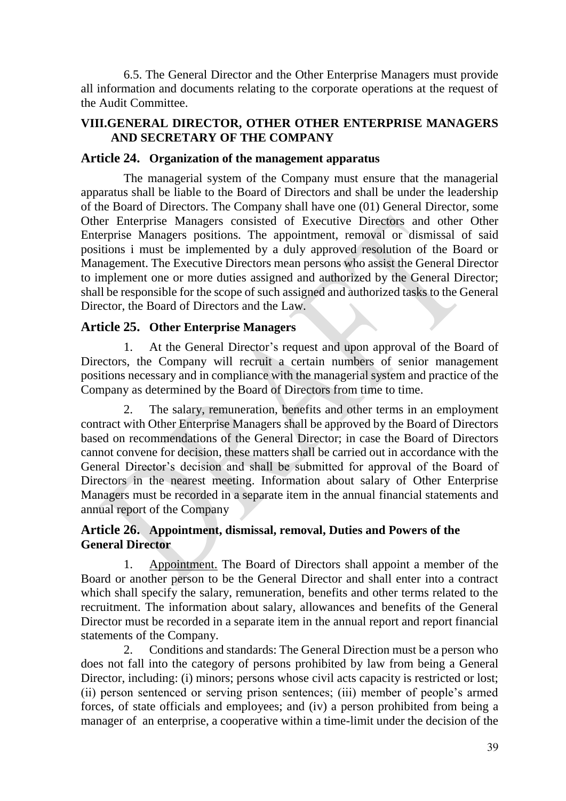6.5. The General Director and the Other Enterprise Managers must provide all information and documents relating to the corporate operations at the request of the Audit Committee.

#### <span id="page-38-0"></span>**VIII.GENERAL DIRECTOR, OTHER OTHER ENTERPRISE MANAGERS AND SECRETARY OF THE COMPANY**

#### <span id="page-38-1"></span>**Article 24. Organization of the management apparatus**

The managerial system of the Company must ensure that the managerial apparatus shall be liable to the Board of Directors and shall be under the leadership of the Board of Directors. The Company shall have one (01) General Director, some Other Enterprise Managers consisted of Executive Directors and other Other Enterprise Managers positions. The appointment, removal or dismissal of said positions i must be implemented by a duly approved resolution of the Board or Management. The Executive Directors mean persons who assist the General Director to implement one or more duties assigned and authorized by the General Director; shall be responsible for the scope of such assigned and authorized tasks to the General Director, the Board of Directors and the Law.

#### <span id="page-38-2"></span>**Article 25. Other Enterprise Managers**

1. At the General Director's request and upon approval of the Board of Directors, the Company will recruit a certain numbers of senior management positions necessary and in compliance with the managerial system and practice of the Company as determined by the Board of Directors from time to time.

2. The salary, remuneration, benefits and other terms in an employment contract with Other Enterprise Managers shall be approved by the Board of Directors based on recommendations of the General Director; in case the Board of Directors cannot convene for decision, these matters shall be carried out in accordance with the General Director's decision and shall be submitted for approval of the Board of Directors in the nearest meeting. Information about salary of Other Enterprise Managers must be recorded in a separate item in the annual financial statements and annual report of the Company

### <span id="page-38-3"></span>**Article 26. Appointment, dismissal, removal, Duties and Powers of the General Director**

1. Appointment. The Board of Directors shall appoint a member of the Board or another person to be the General Director and shall enter into a contract which shall specify the salary, remuneration, benefits and other terms related to the recruitment. The information about salary, allowances and benefits of the General Director must be recorded in a separate item in the annual report and report financial statements of the Company.

2. Conditions and standards: The General Direction must be a person who does not fall into the category of persons prohibited by law from being a General Director, including: (i) minors; persons whose civil acts capacity is restricted or lost; (ii) person sentenced or serving prison sentences; (iii) member of people's armed forces, of state officials and employees; and (iv) a person prohibited from being a manager of an enterprise, a cooperative within a time-limit under the decision of the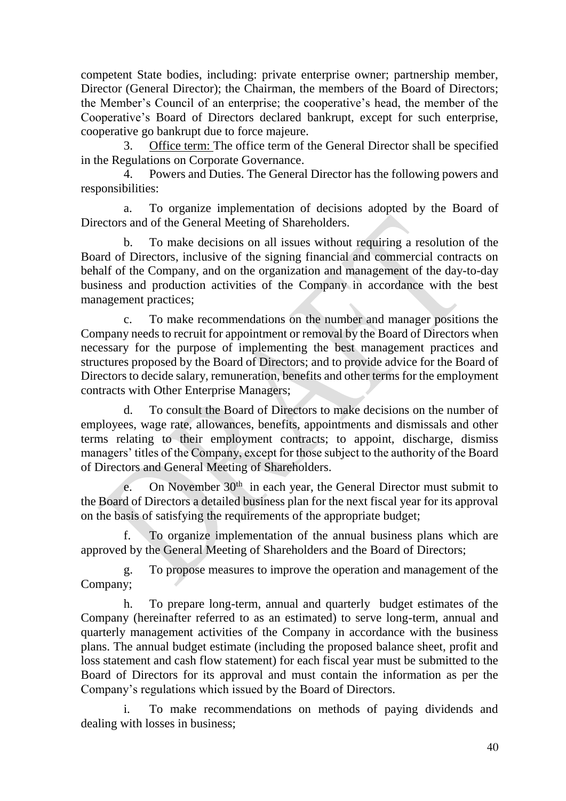competent State bodies, including: private enterprise owner; partnership member, Director (General Director); the Chairman, the members of the Board of Directors; the Member's Council of an enterprise; the cooperative's head, the member of the Cooperative's Board of Directors declared bankrupt, except for such enterprise, cooperative go bankrupt due to force majeure.

3. Office term: The office term of the General Director shall be specified in the Regulations on Corporate Governance.

4. Powers and Duties. The General Director has the following powers and responsibilities:

a. To organize implementation of decisions adopted by the Board of Directors and of the General Meeting of Shareholders.

b. To make decisions on all issues without requiring a resolution of the Board of Directors, inclusive of the signing financial and commercial contracts on behalf of the Company, and on the organization and management of the day-to-day business and production activities of the Company in accordance with the best management practices;

c. To make recommendations on the number and manager positions the Company needs to recruit for appointment or removal by the Board of Directors when necessary for the purpose of implementing the best management practices and structures proposed by the Board of Directors; and to provide advice for the Board of Directors to decide salary, remuneration, benefits and other terms for the employment contracts with Other Enterprise Managers;

d. To consult the Board of Directors to make decisions on the number of employees, wage rate, allowances, benefits, appointments and dismissals and other terms relating to their employment contracts; to appoint, discharge, dismiss managers' titles of the Company, except for those subject to the authority of the Board of Directors and General Meeting of Shareholders.

e. On November 30<sup>th</sup> in each year, the General Director must submit to the Board of Directors a detailed business plan for the next fiscal year for its approval on the basis of satisfying the requirements of the appropriate budget;

f. To organize implementation of the annual business plans which are approved by the General Meeting of Shareholders and the Board of Directors;

g. To propose measures to improve the operation and management of the Company;

h. To prepare long-term, annual and quarterly budget estimates of the Company (hereinafter referred to as an estimated) to serve long-term, annual and quarterly management activities of the Company in accordance with the business plans. The annual budget estimate (including the proposed balance sheet, profit and loss statement and cash flow statement) for each fiscal year must be submitted to the Board of Directors for its approval and must contain the information as per the Company's regulations which issued by the Board of Directors.

i. To make recommendations on methods of paying dividends and dealing with losses in business;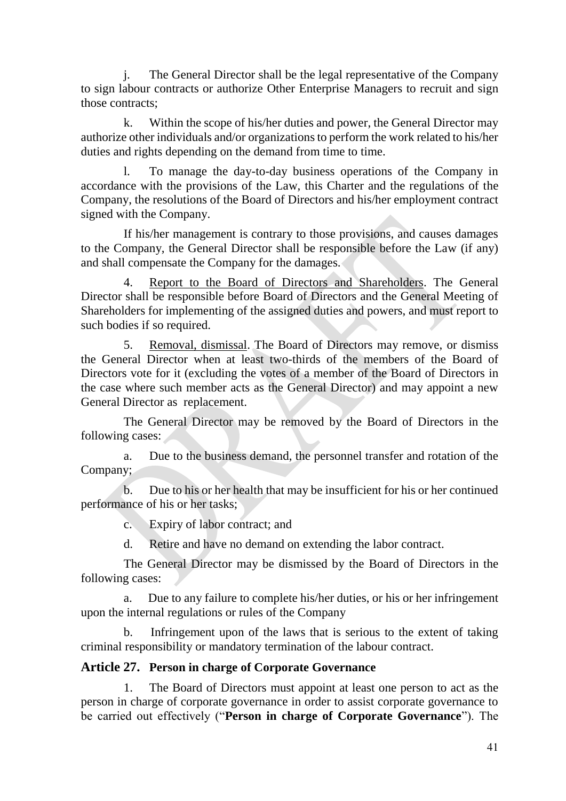j. The General Director shall be the legal representative of the Company to sign labour contracts or authorize Other Enterprise Managers to recruit and sign those contracts;

k. Within the scope of his/her duties and power, the General Director may authorize other individuals and/or organizations to perform the work related to his/her duties and rights depending on the demand from time to time.

l. To manage the day-to-day business operations of the Company in accordance with the provisions of the Law, this Charter and the regulations of the Company, the resolutions of the Board of Directors and his/her employment contract signed with the Company.

If his/her management is contrary to those provisions, and causes damages to the Company, the General Director shall be responsible before the Law (if any) and shall compensate the Company for the damages.

4. Report to the Board of Directors and Shareholders. The General Director shall be responsible before Board of Directors and the General Meeting of Shareholders for implementing of the assigned duties and powers, and must report to such bodies if so required.

5. Removal, dismissal. The Board of Directors may remove, or dismiss the General Director when at least two-thirds of the members of the Board of Directors vote for it (excluding the votes of a member of the Board of Directors in the case where such member acts as the General Director) and may appoint a new General Director as replacement.

The General Director may be removed by the Board of Directors in the following cases:

a. Due to the business demand, the personnel transfer and rotation of the Company;

b. Due to his or her health that may be insufficient for his or her continued performance of his or her tasks;

c. Expiry of labor contract; and

d. Retire and have no demand on extending the labor contract.

The General Director may be dismissed by the Board of Directors in the following cases:

a. Due to any failure to complete his/her duties, or his or her infringement upon the internal regulations or rules of the Company

b. Infringement upon of the laws that is serious to the extent of taking criminal responsibility or mandatory termination of the labour contract.

#### <span id="page-40-0"></span>**Article 27. Person in charge of Corporate Governance**

1. The Board of Directors must appoint at least one person to act as the person in charge of corporate governance in order to assist corporate governance to be carried out effectively ("**Person in charge of Corporate Governance**"). The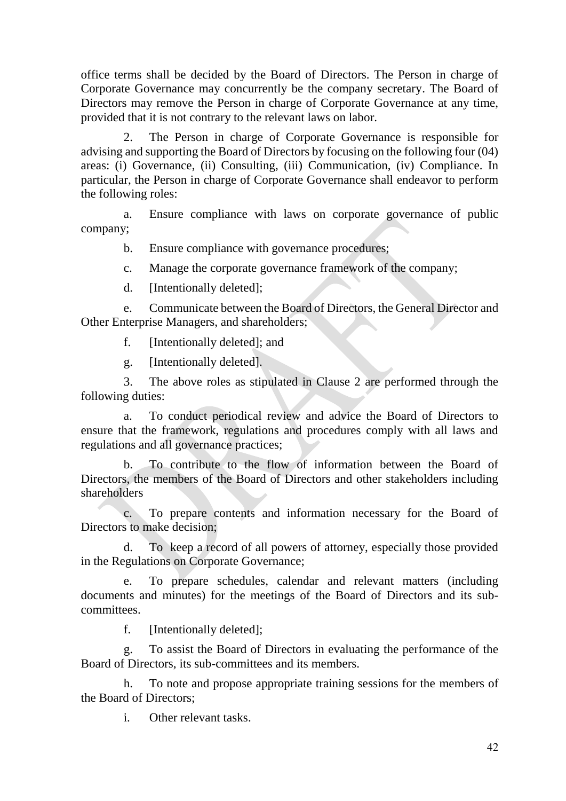office terms shall be decided by the Board of Directors. The Person in charge of Corporate Governance may concurrently be the company secretary. The Board of Directors may remove the Person in charge of Corporate Governance at any time, provided that it is not contrary to the relevant laws on labor.

2. The Person in charge of Corporate Governance is responsible for advising and supporting the Board of Directors by focusing on the following four (04) areas: (i) Governance, (ii) Consulting, (iii) Communication, (iv) Compliance. In particular, the Person in charge of Corporate Governance shall endeavor to perform the following roles:

a. Ensure compliance with laws on corporate governance of public company;

b. Ensure compliance with governance procedures;

- c. Manage the corporate governance framework of the company;
- d. [Intentionally deleted];

e. Communicate between the Board of Directors, the General Director and Other Enterprise Managers, and shareholders;

f. [Intentionally deleted]; and

g. [Intentionally deleted].

3. The above roles as stipulated in Clause 2 are performed through the following duties:

a. To conduct periodical review and advice the Board of Directors to ensure that the framework, regulations and procedures comply with all laws and regulations and all governance practices;

b. To contribute to the flow of information between the Board of Directors, the members of the Board of Directors and other stakeholders including shareholders

c. To prepare contents and information necessary for the Board of Directors to make decision;

d. To keep a record of all powers of attorney, especially those provided in the Regulations on Corporate Governance;

e. To prepare schedules, calendar and relevant matters (including documents and minutes) for the meetings of the Board of Directors and its subcommittees.

f. [Intentionally deleted];

g. To assist the Board of Directors in evaluating the performance of the Board of Directors, its sub-committees and its members.

h. To note and propose appropriate training sessions for the members of the Board of Directors;

i. Other relevant tasks.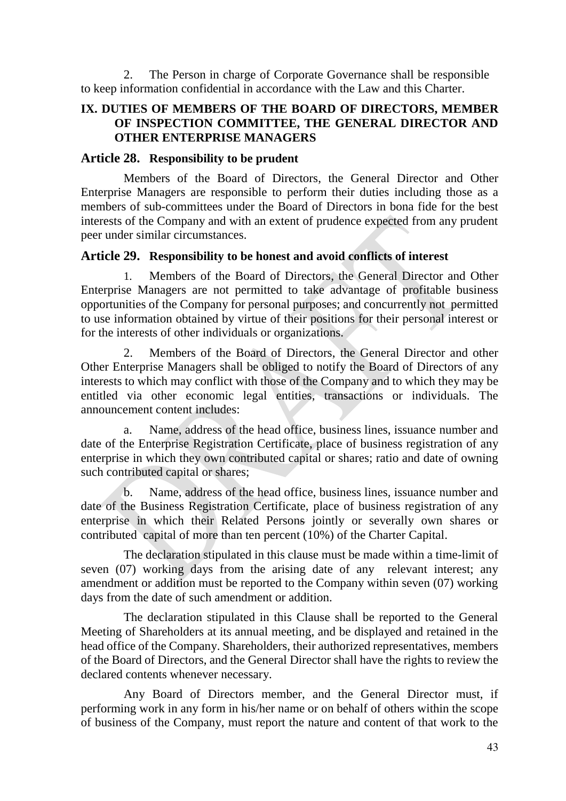2. The Person in charge of Corporate Governance shall be responsible to keep information confidential in accordance with the Law and this Charter.

#### <span id="page-42-0"></span>**IX. DUTIES OF MEMBERS OF THE BOARD OF DIRECTORS, MEMBER OF INSPECTION COMMITTEE, THE GENERAL DIRECTOR AND OTHER ENTERPRISE MANAGERS**

#### <span id="page-42-1"></span>**Article 28. Responsibility to be prudent**

Members of the Board of Directors, the General Director and Other Enterprise Managers are responsible to perform their duties including those as a members of sub-committees under the Board of Directors in bona fide for the best interests of the Company and with an extent of prudence expected from any prudent peer under similar circumstances.

#### <span id="page-42-2"></span>**Article 29. Responsibility to be honest and avoid conflicts of interest**

1. Members of the Board of Directors, the General Director and Other Enterprise Managers are not permitted to take advantage of profitable business opportunities of the Company for personal purposes; and concurrently not permitted to use information obtained by virtue of their positions for their personal interest or for the interests of other individuals or organizations.

2. Members of the Board of Directors, the General Director and other Other Enterprise Managers shall be obliged to notify the Board of Directors of any interests to which may conflict with those of the Company and to which they may be entitled via other economic legal entities, transactions or individuals. The announcement content includes:

a. Name, address of the head office, business lines, issuance number and date of the Enterprise Registration Certificate, place of business registration of any enterprise in which they own contributed capital or shares; ratio and date of owning such contributed capital or shares;

b. Name, address of the head office, business lines, issuance number and date of the Business Registration Certificate, place of business registration of any enterprise in which their Related Persons jointly or severally own shares or contributed capital of more than ten percent (10%) of the Charter Capital.

The declaration stipulated in this clause must be made within a time-limit of seven (07) working days from the arising date of any relevant interest; any amendment or addition must be reported to the Company within seven (07) working days from the date of such amendment or addition.

The declaration stipulated in this Clause shall be reported to the General Meeting of Shareholders at its annual meeting, and be displayed and retained in the head office of the Company. Shareholders, their authorized representatives, members of the Board of Directors, and the General Director shall have the rights to review the declared contents whenever necessary.

Any Board of Directors member, and the General Director must, if performing work in any form in his/her name or on behalf of others within the scope of business of the Company, must report the nature and content of that work to the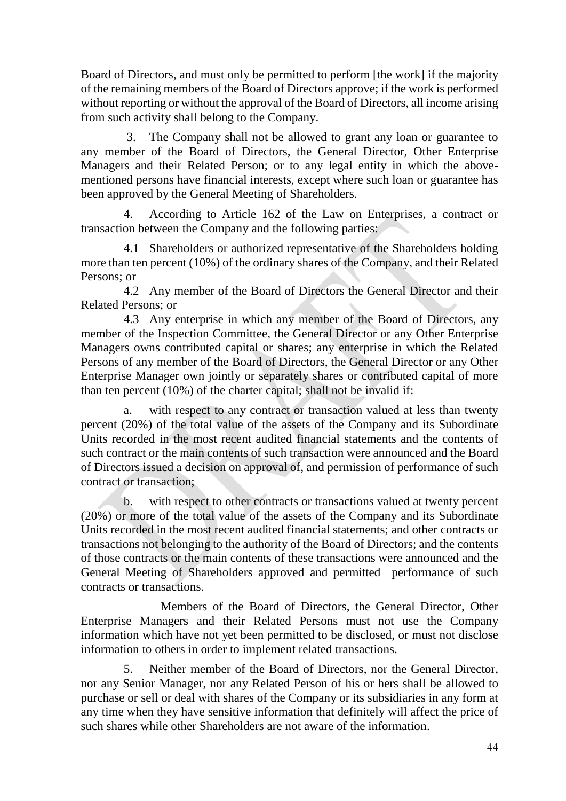Board of Directors, and must only be permitted to perform [the work] if the majority of the remaining members of the Board of Directors approve; if the work is performed without reporting or without the approval of the Board of Directors, all income arising from such activity shall belong to the Company.

3. The Company shall not be allowed to grant any loan or guarantee to any member of the Board of Directors, the General Director, Other Enterprise Managers and their Related Person; or to any legal entity in which the abovementioned persons have financial interests, except where such loan or guarantee has been approved by the General Meeting of Shareholders.

4. According to Article 162 of the Law on Enterprises, a contract or transaction between the Company and the following parties:

4.1 Shareholders or authorized representative of the Shareholders holding more than ten percent (10%) of the ordinary shares of the Company, and their Related Persons; or

4.2 Any member of the Board of Directors the General Director and their Related Persons; or

4.3 Any enterprise in which any member of the Board of Directors, any member of the Inspection Committee, the General Director or any Other Enterprise Managers owns contributed capital or shares; any enterprise in which the Related Persons of any member of the Board of Directors, the General Director or any Other Enterprise Manager own jointly or separately shares or contributed capital of more than ten percent (10%) of the charter capital; shall not be invalid if:

a. with respect to any contract or transaction valued at less than twenty percent (20%) of the total value of the assets of the Company and its Subordinate Units recorded in the most recent audited financial statements and the contents of such contract or the main contents of such transaction were announced and the Board of Directors issued a decision on approval of, and permission of performance of such contract or transaction;

b. with respect to other contracts or transactions valued at twenty percent (20%) or more of the total value of the assets of the Company and its Subordinate Units recorded in the most recent audited financial statements; and other contracts or transactions not belonging to the authority of the Board of Directors; and the contents of those contracts or the main contents of these transactions were announced and the General Meeting of Shareholders approved and permitted performance of such contracts or transactions.

 Members of the Board of Directors, the General Director, Other Enterprise Managers and their Related Persons must not use the Company information which have not yet been permitted to be disclosed, or must not disclose information to others in order to implement related transactions.

5. Neither member of the Board of Directors, nor the General Director, nor any Senior Manager, nor any Related Person of his or hers shall be allowed to purchase or sell or deal with shares of the Company or its subsidiaries in any form at any time when they have sensitive information that definitely will affect the price of such shares while other Shareholders are not aware of the information.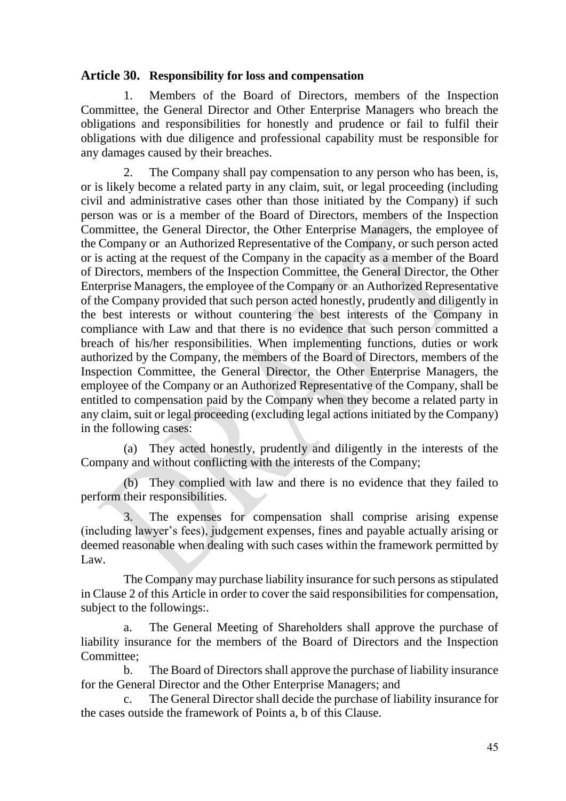#### <span id="page-44-0"></span>**Article 30. Responsibility for loss and compensation**

1. Members of the Board of Directors, members of the Inspection Committee, the General Director and Other Enterprise Managers who breach the obligations and responsibilities for honestly and prudence or fail to fulfil their obligations with due diligence and professional capability must be responsible for any damages caused by their breaches.

2. The Company shall pay compensation to any person who has been, is, or is likely become a related party in any claim, suit, or legal proceeding (including civil and administrative cases other than those initiated by the Company) if such person was or is a member of the Board of Directors, members of the Inspection Committee, the General Director, the Other Enterprise Managers, the employee of the Company or an Authorized Representative of the Company, or such person acted or is acting at the request of the Company in the capacity as a member of the Board of Directors, members of the Inspection Committee, the General Director, the Other Enterprise Managers, the employee of the Company or an Authorized Representative of the Company provided that such person acted honestly, prudently and diligently in the best interests or without countering the best interests of the Company in compliance with Law and that there is no evidence that such person committed a breach of his/her responsibilities. When implementing functions, duties or work authorized by the Company, the members of the Board of Directors, members of the Inspection Committee, the General Director, the Other Enterprise Managers, the employee of the Company or an Authorized Representative of the Company, shall be entitled to compensation paid by the Company when they become a related party in any claim, suit or legal proceeding (excluding legal actions initiated by the Company) in the following cases:

(a) They acted honestly, prudently and diligently in the interests of the Company and without conflicting with the interests of the Company;

(b) They complied with law and there is no evidence that they failed to perform their responsibilities.

The expenses for compensation shall comprise arising expense (including lawyer's fees), judgement expenses, fines and payable actually arising or deemed reasonable when dealing with such cases within the framework permitted by Law.

The Company may purchase liability insurance for such persons as stipulated in Clause 2 of this Article in order to cover the said responsibilities for compensation, subject to the followings:.

a. The General Meeting of Shareholders shall approve the purchase of liability insurance for the members of the Board of Directors and the Inspection Committee;

b. The Board of Directors shall approve the purchase of liability insurance for the General Director and the Other Enterprise Managers; and

c. The General Director shall decide the purchase of liability insurance for the cases outside the framework of Points a, b of this Clause.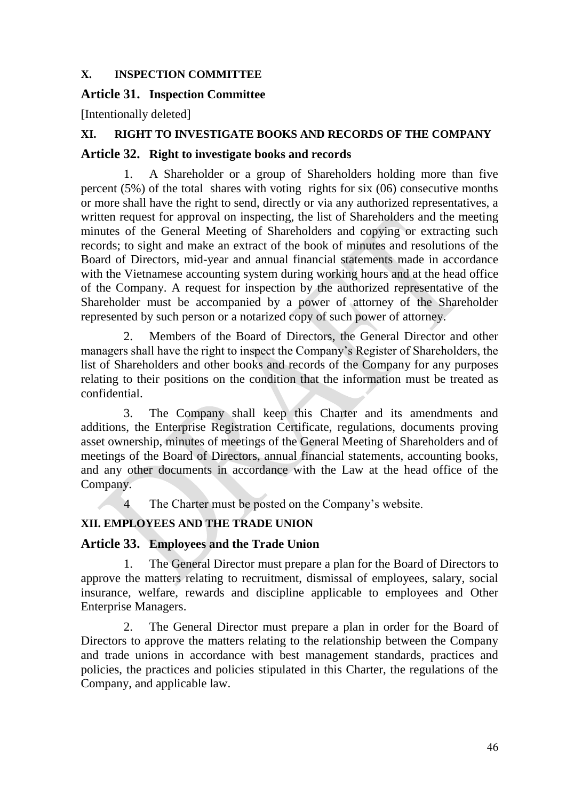#### <span id="page-45-0"></span>**X. INSPECTION COMMITTEE**

#### <span id="page-45-1"></span>**Article 31. Inspection Committee**

[Intentionally deleted]

#### <span id="page-45-2"></span>**XI. RIGHT TO INVESTIGATE BOOKS AND RECORDS OF THE COMPANY**

#### <span id="page-45-3"></span>**Article 32. Right to investigate books and records**

1. A Shareholder or a group of Shareholders holding more than five percent (5%) of the total shares with voting rights for six (06) consecutive months or more shall have the right to send, directly or via any authorized representatives, a written request for approval on inspecting, the list of Shareholders and the meeting minutes of the General Meeting of Shareholders and copying or extracting such records; to sight and make an extract of the book of minutes and resolutions of the Board of Directors, mid-year and annual financial statements made in accordance with the Vietnamese accounting system during working hours and at the head office of the Company. A request for inspection by the authorized representative of the Shareholder must be accompanied by a power of attorney of the Shareholder represented by such person or a notarized copy of such power of attorney.

2. Members of the Board of Directors, the General Director and other managers shall have the right to inspect the Company's Register of Shareholders, the list of Shareholders and other books and records of the Company for any purposes relating to their positions on the condition that the information must be treated as confidential.

3. The Company shall keep this Charter and its amendments and additions, the Enterprise Registration Certificate, regulations, documents proving asset ownership, minutes of meetings of the General Meeting of Shareholders and of meetings of the Board of Directors, annual financial statements, accounting books, and any other documents in accordance with the Law at the head office of the Company.

4 The Charter must be posted on the Company's website.

## <span id="page-45-4"></span>**XII. EMPLOYEES AND THE TRADE UNION**

#### <span id="page-45-5"></span>**Article 33. Employees and the Trade Union**

1. The General Director must prepare a plan for the Board of Directors to approve the matters relating to recruitment, dismissal of employees, salary, social insurance, welfare, rewards and discipline applicable to employees and Other Enterprise Managers.

2. The General Director must prepare a plan in order for the Board of Directors to approve the matters relating to the relationship between the Company and trade unions in accordance with best management standards, practices and policies, the practices and policies stipulated in this Charter, the regulations of the Company, and applicable law.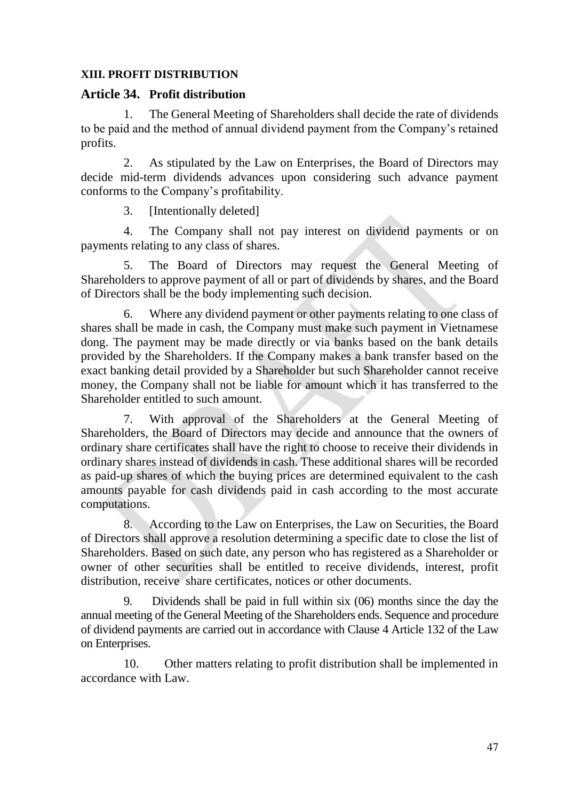#### <span id="page-46-0"></span>**XIII. PROFIT DISTRIBUTION**

#### <span id="page-46-1"></span>**Article 34. Profit distribution**

1. The General Meeting of Shareholders shall decide the rate of dividends to be paid and the method of annual dividend payment from the Company's retained profits.

2. As stipulated by the Law on Enterprises, the Board of Directors may decide mid-term dividends advances upon considering such advance payment conforms to the Company's profitability.

3. [Intentionally deleted]

4. The Company shall not pay interest on dividend payments or on payments relating to any class of shares.

5. The Board of Directors may request the General Meeting of Shareholders to approve payment of all or part of dividends by shares, and the Board of Directors shall be the body implementing such decision.

6. Where any dividend payment or other payments relating to one class of shares shall be made in cash, the Company must make such payment in Vietnamese dong. The payment may be made directly or via banks based on the bank details provided by the Shareholders. If the Company makes a bank transfer based on the exact banking detail provided by a Shareholder but such Shareholder cannot receive money, the Company shall not be liable for amount which it has transferred to the Shareholder entitled to such amount.

7. With approval of the Shareholders at the General Meeting of Shareholders, the Board of Directors may decide and announce that the owners of ordinary share certificates shall have the right to choose to receive their dividends in ordinary shares instead of dividends in cash. These additional shares will be recorded as paid-up shares of which the buying prices are determined equivalent to the cash amounts payable for cash dividends paid in cash according to the most accurate computations.

8. According to the Law on Enterprises, the Law on Securities, the Board of Directors shall approve a resolution determining a specific date to close the list of Shareholders. Based on such date, any person who has registered as a Shareholder or owner of other securities shall be entitled to receive dividends, interest, profit distribution, receive share certificates, notices or other documents.

9. Dividends shall be paid in full within six (06) months since the day the annual meeting of the General Meeting of the Shareholders ends. Sequence and procedure of dividend payments are carried out in accordance with Clause 4 Article 132 of the Law on Enterprises.

10. Other matters relating to profit distribution shall be implemented in accordance with Law.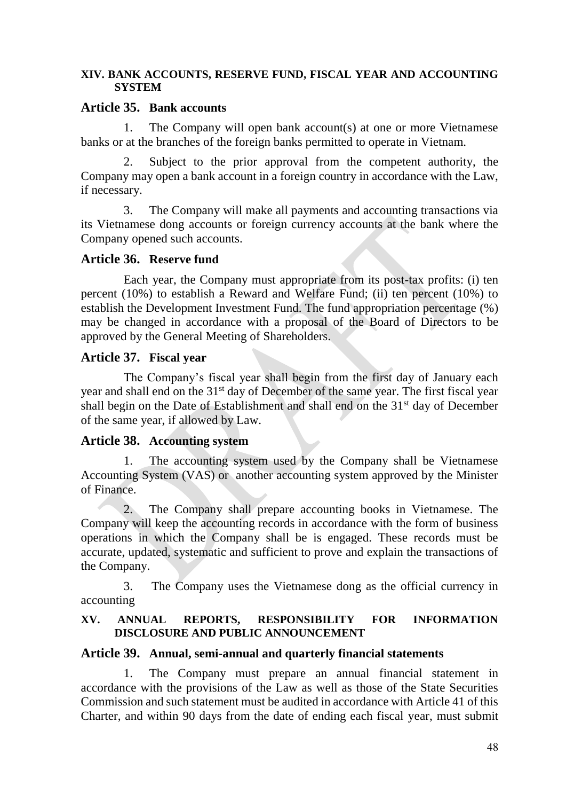#### <span id="page-47-0"></span>**XIV. BANK ACCOUNTS, RESERVE FUND, FISCAL YEAR AND ACCOUNTING SYSTEM**

#### <span id="page-47-1"></span>**Article 35. Bank accounts**

1. The Company will open bank account(s) at one or more Vietnamese banks or at the branches of the foreign banks permitted to operate in Vietnam.

2. Subject to the prior approval from the competent authority, the Company may open a bank account in a foreign country in accordance with the Law, if necessary.

3. The Company will make all payments and accounting transactions via its Vietnamese dong accounts or foreign currency accounts at the bank where the Company opened such accounts.

#### <span id="page-47-2"></span>**Article 36. Reserve fund**

Each year, the Company must appropriate from its post-tax profits: (i) ten percent (10%) to establish a Reward and Welfare Fund; (ii) ten percent (10%) to establish the Development Investment Fund. The fund appropriation percentage (%) may be changed in accordance with a proposal of the Board of Directors to be approved by the General Meeting of Shareholders.

#### <span id="page-47-3"></span>**Article 37. Fiscal year**

The Company's fiscal year shall begin from the first day of January each year and shall end on the 31<sup>st</sup> day of December of the same year. The first fiscal year shall begin on the Date of Establishment and shall end on the  $31<sup>st</sup>$  day of December of the same year, if allowed by Law.

#### <span id="page-47-4"></span>**Article 38. Accounting system**

1. The accounting system used by the Company shall be Vietnamese Accounting System (VAS) or another accounting system approved by the Minister of Finance.

2. The Company shall prepare accounting books in Vietnamese. The Company will keep the accounting records in accordance with the form of business operations in which the Company shall be is engaged. These records must be accurate, updated, systematic and sufficient to prove and explain the transactions of the Company.

3. The Company uses the Vietnamese dong as the official currency in accounting

#### <span id="page-47-5"></span>**XV. ANNUAL REPORTS, RESPONSIBILITY FOR INFORMATION DISCLOSURE AND PUBLIC ANNOUNCEMENT**

#### <span id="page-47-6"></span>**Article 39. Annual, semi-annual and quarterly financial statements**

1. The Company must prepare an annual financial statement in accordance with the provisions of the Law as well as those of the State Securities Commission and such statement must be audited in accordance with Article 41 of this Charter, and within 90 days from the date of ending each fiscal year, must submit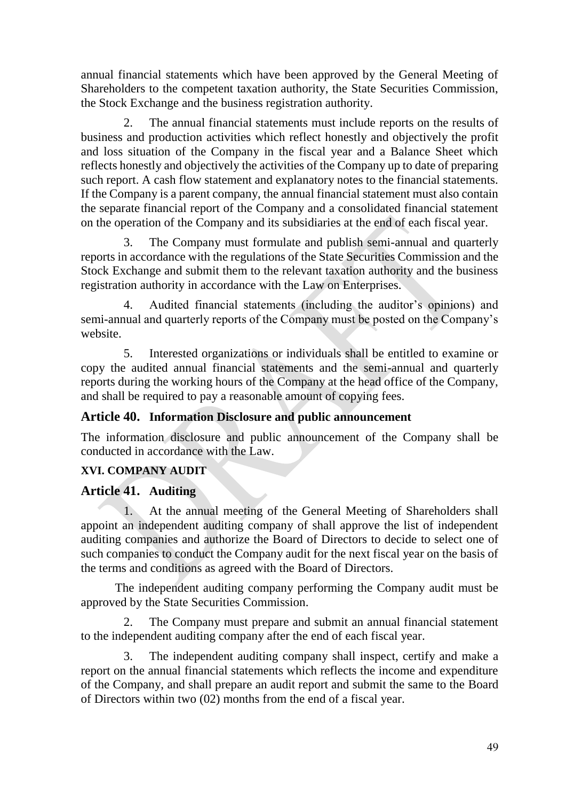annual financial statements which have been approved by the General Meeting of Shareholders to the competent taxation authority, the State Securities Commission, the Stock Exchange and the business registration authority.

The annual financial statements must include reports on the results of business and production activities which reflect honestly and objectively the profit and loss situation of the Company in the fiscal year and a Balance Sheet which reflects honestly and objectively the activities of the Company up to date of preparing such report. A cash flow statement and explanatory notes to the financial statements. If the Company is a parent company, the annual financial statement must also contain the separate financial report of the Company and a consolidated financial statement on the operation of the Company and its subsidiaries at the end of each fiscal year.

3. The Company must formulate and publish semi-annual and quarterly reports in accordance with the regulations of the State Securities Commission and the Stock Exchange and submit them to the relevant taxation authority and the business registration authority in accordance with the Law on Enterprises.

4. Audited financial statements (including the auditor's opinions) and semi-annual and quarterly reports of the Company must be posted on the Company's website.

5. Interested organizations or individuals shall be entitled to examine or copy the audited annual financial statements and the semi-annual and quarterly reports during the working hours of the Company at the head office of the Company, and shall be required to pay a reasonable amount of copying fees.

## <span id="page-48-0"></span>**Article 40. Information Disclosure and public announcement**

The information disclosure and public announcement of the Company shall be conducted in accordance with the Law.

## <span id="page-48-1"></span>**XVI. COMPANY AUDIT**

#### <span id="page-48-2"></span>**Article 41. Auditing**

1. At the annual meeting of the General Meeting of Shareholders shall appoint an independent auditing company of shall approve the list of independent auditing companies and authorize the Board of Directors to decide to select one of such companies to conduct the Company audit for the next fiscal year on the basis of the terms and conditions as agreed with the Board of Directors.

The independent auditing company performing the Company audit must be approved by the State Securities Commission.

2. The Company must prepare and submit an annual financial statement to the independent auditing company after the end of each fiscal year.

3. The independent auditing company shall inspect, certify and make a report on the annual financial statements which reflects the income and expenditure of the Company, and shall prepare an audit report and submit the same to the Board of Directors within two (02) months from the end of a fiscal year.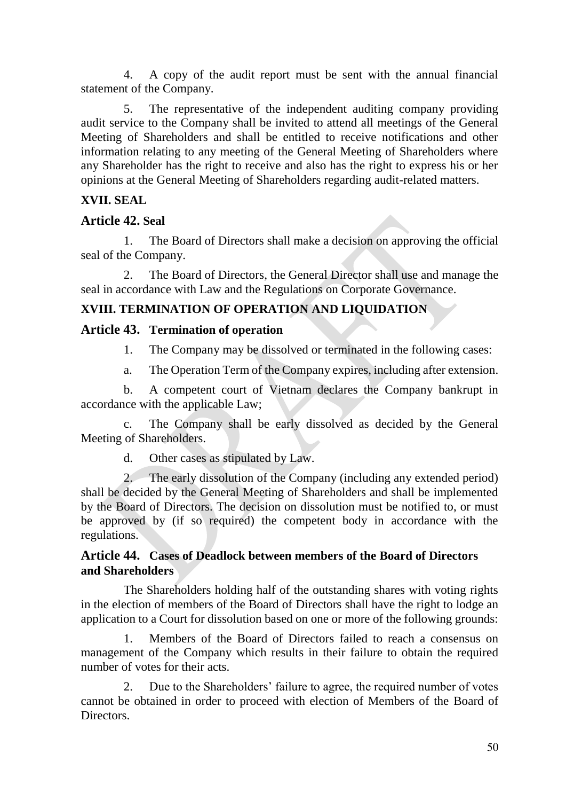4. A copy of the audit report must be sent with the annual financial statement of the Company.

5. The representative of the independent auditing company providing audit service to the Company shall be invited to attend all meetings of the General Meeting of Shareholders and shall be entitled to receive notifications and other information relating to any meeting of the General Meeting of Shareholders where any Shareholder has the right to receive and also has the right to express his or her opinions at the General Meeting of Shareholders regarding audit-related matters.

## <span id="page-49-0"></span>**XVII. SEAL**

## <span id="page-49-1"></span>**Article 42. Seal**

1. The Board of Directors shall make a decision on approving the official seal of the Company.

2. The Board of Directors, the General Director shall use and manage the seal in accordance with Law and the Regulations on Corporate Governance.

## <span id="page-49-2"></span>**XVIII. TERMINATION OF OPERATION AND LIQUIDATION**

## <span id="page-49-3"></span>**Article 43. Termination of operation**

1. The Company may be dissolved or terminated in the following cases:

a. The Operation Term of the Company expires, including after extension.

b. A competent court of Vietnam declares the Company bankrupt in accordance with the applicable Law;

c. The Company shall be early dissolved as decided by the General Meeting of Shareholders.

d. Other cases as stipulated by Law.

2. The early dissolution of the Company (including any extended period) shall be decided by the General Meeting of Shareholders and shall be implemented by the Board of Directors. The decision on dissolution must be notified to, or must be approved by (if so required) the competent body in accordance with the regulations.

### <span id="page-49-4"></span>**Article 44. Cases of Deadlock between members of the Board of Directors and Shareholders**

The Shareholders holding half of the outstanding shares with voting rights in the election of members of the Board of Directors shall have the right to lodge an application to a Court for dissolution based on one or more of the following grounds:

1. Members of the Board of Directors failed to reach a consensus on management of the Company which results in their failure to obtain the required number of votes for their acts.

2. Due to the Shareholders' failure to agree, the required number of votes cannot be obtained in order to proceed with election of Members of the Board of Directors.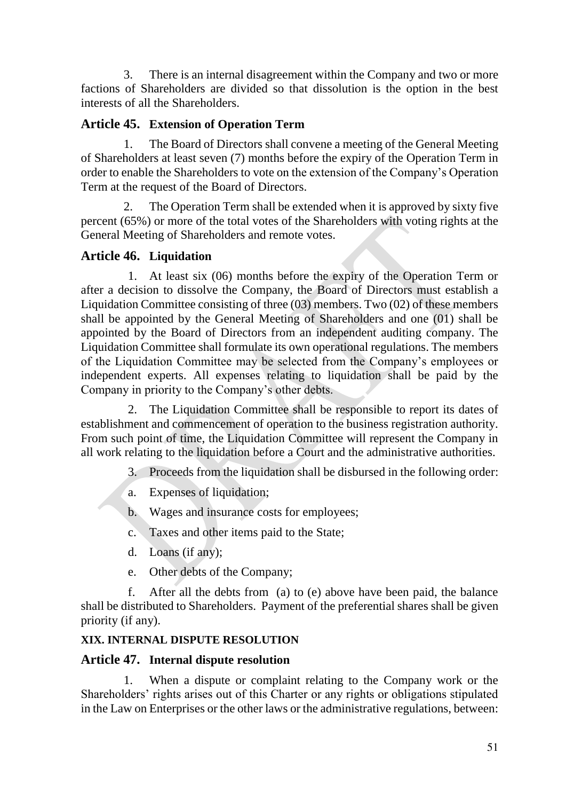3. There is an internal disagreement within the Company and two or more factions of Shareholders are divided so that dissolution is the option in the best interests of all the Shareholders.

## <span id="page-50-0"></span>**Article 45. Extension of Operation Term**

1. The Board of Directors shall convene a meeting of the General Meeting of Shareholders at least seven (7) months before the expiry of the Operation Term in order to enable the Shareholders to vote on the extension of the Company's Operation Term at the request of the Board of Directors.

2. The Operation Term shall be extended when it is approved by sixty five percent (65%) or more of the total votes of the Shareholders with voting rights at the General Meeting of Shareholders and remote votes.

## <span id="page-50-1"></span>**Article 46. Liquidation**

1. At least six (06) months before the expiry of the Operation Term or after a decision to dissolve the Company, the Board of Directors must establish a Liquidation Committee consisting of three (03) members. Two (02) of these members shall be appointed by the General Meeting of Shareholders and one (01) shall be appointed by the Board of Directors from an independent auditing company. The Liquidation Committee shall formulate its own operational regulations. The members of the Liquidation Committee may be selected from the Company's employees or independent experts. All expenses relating to liquidation shall be paid by the Company in priority to the Company's other debts.

2. The Liquidation Committee shall be responsible to report its dates of establishment and commencement of operation to the business registration authority. From such point of time, the Liquidation Committee will represent the Company in all work relating to the liquidation before a Court and the administrative authorities.

- 3. Proceeds from the liquidation shall be disbursed in the following order:
- a. Expenses of liquidation;
- b. Wages and insurance costs for employees;
- c. Taxes and other items paid to the State;
- d. Loans (if any);
- e. Other debts of the Company;

f. After all the debts from (a) to (e) above have been paid, the balance shall be distributed to Shareholders. Payment of the preferential shares shall be given priority (if any).

## <span id="page-50-2"></span>**XIX. INTERNAL DISPUTE RESOLUTION**

#### <span id="page-50-3"></span>**Article 47. Internal dispute resolution**

1. When a dispute or complaint relating to the Company work or the Shareholders' rights arises out of this Charter or any rights or obligations stipulated in the Law on Enterprises or the other laws or the administrative regulations, between: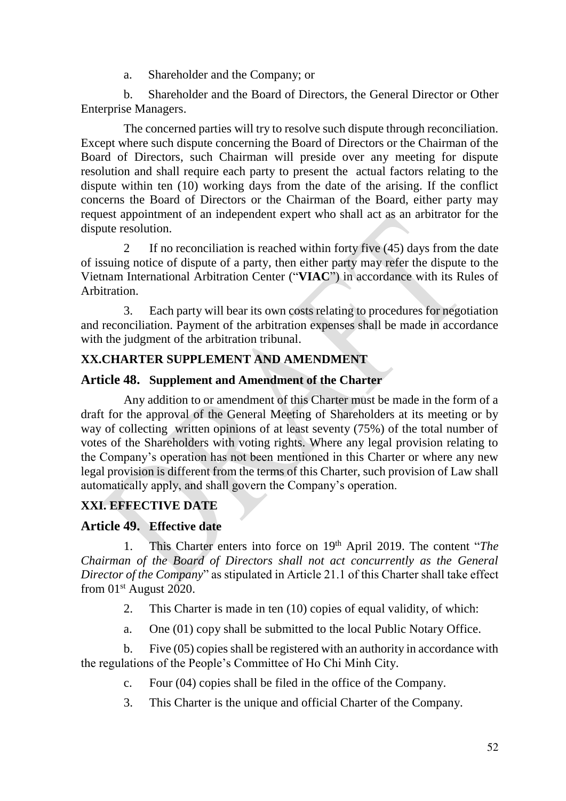a. Shareholder and the Company; or

b. Shareholder and the Board of Directors, the General Director or Other Enterprise Managers.

The concerned parties will try to resolve such dispute through reconciliation. Except where such dispute concerning the Board of Directors or the Chairman of the Board of Directors, such Chairman will preside over any meeting for dispute resolution and shall require each party to present the actual factors relating to the dispute within ten (10) working days from the date of the arising. If the conflict concerns the Board of Directors or the Chairman of the Board, either party may request appointment of an independent expert who shall act as an arbitrator for the dispute resolution.

2 If no reconciliation is reached within forty five (45) days from the date of issuing notice of dispute of a party, then either party may refer the dispute to the Vietnam International Arbitration Center ("**VIAC**") in accordance with its Rules of Arbitration.

3. Each party will bear its own costs relating to procedures for negotiation and reconciliation. Payment of the arbitration expenses shall be made in accordance with the judgment of the arbitration tribunal.

## <span id="page-51-0"></span>**XX.CHARTER SUPPLEMENT AND AMENDMENT**

### <span id="page-51-1"></span>**Article 48. Supplement and Amendment of the Charter**

Any addition to or amendment of this Charter must be made in the form of a draft for the approval of the General Meeting of Shareholders at its meeting or by way of collecting written opinions of at least seventy (75%) of the total number of votes of the Shareholders with voting rights. Where any legal provision relating to the Company's operation has not been mentioned in this Charter or where any new legal provision is different from the terms of this Charter, such provision of Law shall automatically apply, and shall govern the Company's operation.

## <span id="page-51-2"></span>**XXI. EFFECTIVE DATE**

## <span id="page-51-3"></span>**Article 49. Effective date**

1. This Charter enters into force on 19th April 2019. The content "*The Chairman of the Board of Directors shall not act concurrently as the General Director of the Company*" as stipulated in Article 21.1 of this Charter shall take effect from 01st August 2020.

- 2. This Charter is made in ten (10) copies of equal validity, of which:
- a. One (01) copy shall be submitted to the local Public Notary Office.

b. Five (05) copies shall be registered with an authority in accordance with the regulations of the People's Committee of Ho Chi Minh City.

- c. Four (04) copies shall be filed in the office of the Company.
- 3. This Charter is the unique and official Charter of the Company.